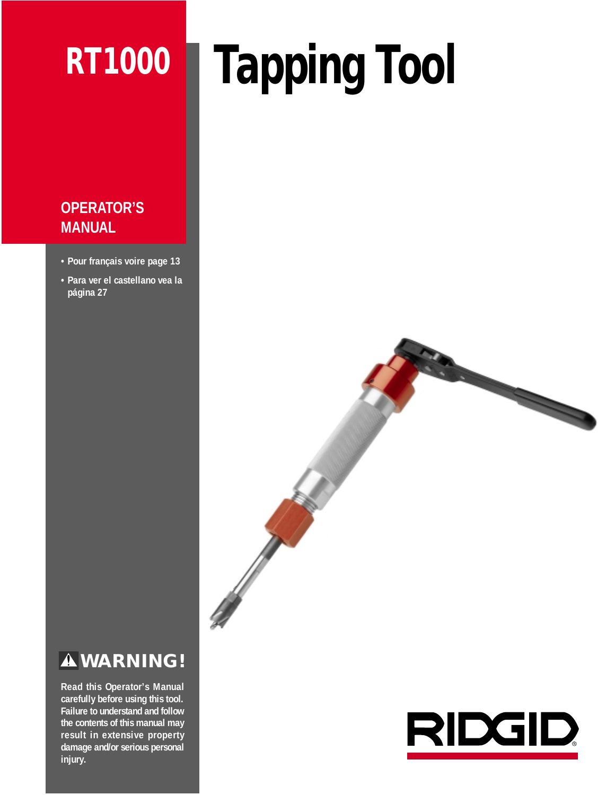# **RT1000**

# **Tapping Tool**

# **OPERATOR'S MANUAL**

- **Pour français voire page 13**
- **Para ver el castellano vea la página 27**



# **WARNING!**

**Read this Operator's Manual carefully before using this tool. Failure to understand and follow the contents of this manual may result in extensive property damage and/or serious personal injury.**

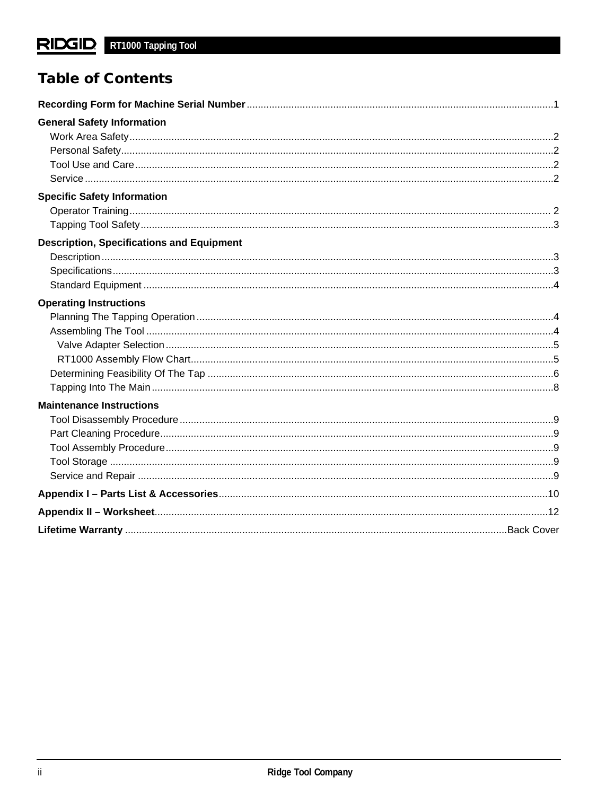# **Table of Contents**

| <b>General Safety Information</b>                |  |
|--------------------------------------------------|--|
|                                                  |  |
|                                                  |  |
|                                                  |  |
|                                                  |  |
| <b>Specific Safety Information</b>               |  |
|                                                  |  |
|                                                  |  |
| <b>Description, Specifications and Equipment</b> |  |
|                                                  |  |
|                                                  |  |
|                                                  |  |
| <b>Operating Instructions</b>                    |  |
|                                                  |  |
|                                                  |  |
|                                                  |  |
|                                                  |  |
|                                                  |  |
|                                                  |  |
| <b>Maintenance Instructions</b>                  |  |
|                                                  |  |
|                                                  |  |
|                                                  |  |
|                                                  |  |
|                                                  |  |
|                                                  |  |
|                                                  |  |
|                                                  |  |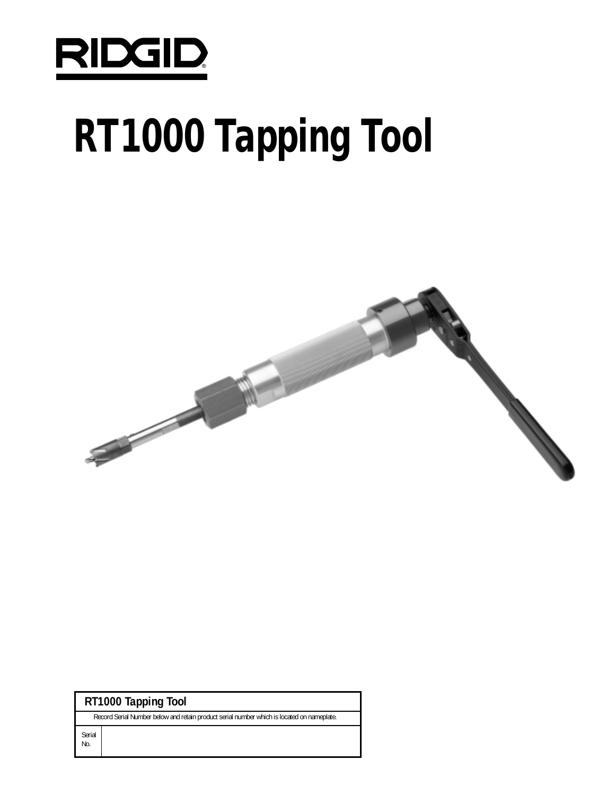

# **RT1000 Tapping Tool**



| RT1000 Tapping Tool |  |  |
|---------------------|--|--|
|                     |  |  |

Record Serial Number below and retain product serial number which is located on nameplate.

Serial No.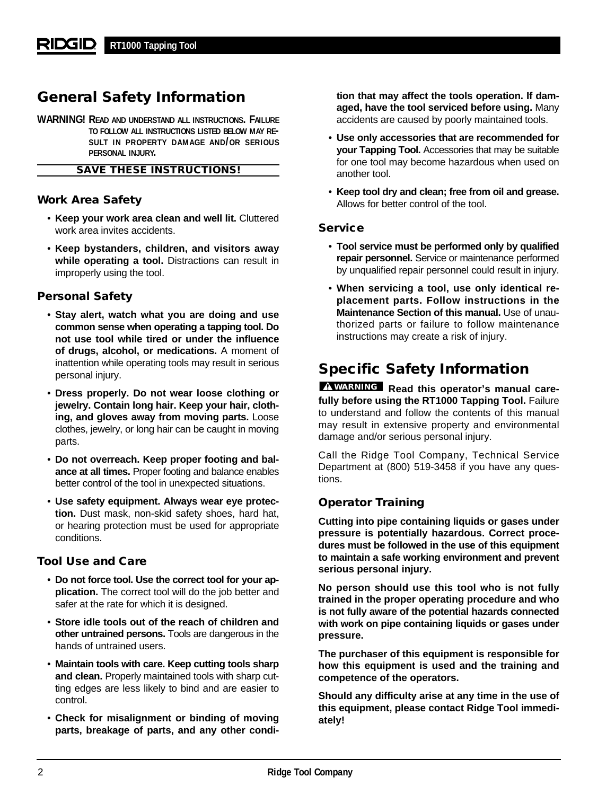# **General Safety Information**

**WARNING! READ AND UNDERSTAND ALL INSTRUCTIONS. FAILURE TO FOLLOW ALL INSTRUCTIONS LISTED BELOW MAY RE-SULT IN PROPERTY DAMAGE AND/OR SERIOUS PERSONAL INJURY.**

## **SAVE THESE INSTRUCTIONS!**

## **Work Area Safety**

- **Keep your work area clean and well lit.** Cluttered work area invites accidents.
- **Keep bystanders, children, and visitors away while operating a tool.** Distractions can result in improperly using the tool.

## **Personal Safety**

- **Stay alert, watch what you are doing and use common sense when operating a tapping tool. Do not use tool while tired or under the influence of drugs, alcohol, or medications.** A moment of inattention while operating tools may result in serious personal injury.
- **Dress properly. Do not wear loose clothing or jewelry. Contain long hair. Keep your hair, clothing, and gloves away from moving parts.** Loose clothes, jewelry, or long hair can be caught in moving parts.
- **Do not overreach. Keep proper footing and balance at all times.** Proper footing and balance enables better control of the tool in unexpected situations.
- **Use safety equipment. Always wear eye protection.** Dust mask, non-skid safety shoes, hard hat, or hearing protection must be used for appropriate conditions.

## **Tool Use and Care**

- **Do not force tool. Use the correct tool for your application.** The correct tool will do the job better and safer at the rate for which it is designed.
- **Store idle tools out of the reach of children and other untrained persons.** Tools are dangerous in the hands of untrained users.
- **Maintain tools with care. Keep cutting tools sharp and clean.** Properly maintained tools with sharp cutting edges are less likely to bind and are easier to control.
- **Check for misalignment or binding of moving parts, breakage of parts, and any other condi-**

**tion that may affect the tools operation. If damaged, have the tool serviced before using.** Many accidents are caused by poorly maintained tools.

- **Use only accessories that are recommended for your Tapping Tool.** Accessories that may be suitable for one tool may become hazardous when used on another tool.
- **Keep tool dry and clean; free from oil and grease.** Allows for better control of the tool.

## **Service**

- **Tool service must be performed only by qualified repair personnel.** Service or maintenance performed by unqualified repair personnel could result in injury.
- **When servicing a tool, use only identical replacement parts. Follow instructions in the Maintenance Section of this manual.** Use of unauthorized parts or failure to follow maintenance instructions may create a risk of injury.

# **Specific Safety Information**

**Read this operator's manual care-WARNINGfully before using the RT1000 Tapping Tool.** Failure to understand and follow the contents of this manual may result in extensive property and environmental damage and/or serious personal injury.

Call the Ridge Tool Company, Technical Service Department at (800) 519-3458 if you have any questions.

## **Operator Training**

**Cutting into pipe containing liquids or gases under pressure is potentially hazardous. Correct procedures must be followed in the use of this equipment to maintain a safe working environment and prevent serious personal injury.** 

**No person should use this tool who is not fully trained in the proper operating procedure and who is not fully aware of the potential hazards connected with work on pipe containing liquids or gases under pressure.** 

**The purchaser of this equipment is responsible for how this equipment is used and the training and competence of the operators.** 

**Should any difficulty arise at any time in the use of this equipment, please contact Ridge Tool immediately!**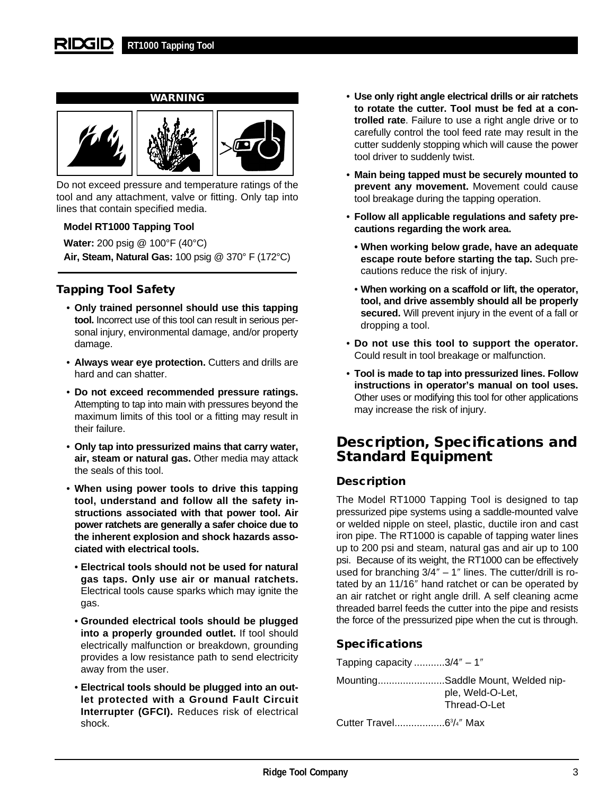#### RIDGID **RT1000 Tapping Tool**



Do not exceed pressure and temperature ratings of the tool and any attachment, valve or fitting. Only tap into lines that contain specified media.

## **Model RT1000 Tapping Tool**

**Water:** 200 psig @ 100°F (40°C) **Air, Steam, Natural Gas:** 100 psig @ 370° F (172°C)

## **Tapping Tool Safety**

- **Only trained personnel should use this tapping tool.** Incorrect use of this tool can result in serious personal injury, environmental damage, and/or property damage.
- **Always wear eye protection.** Cutters and drills are hard and can shatter.
- **Do not exceed recommended pressure ratings.** Attempting to tap into main with pressures beyond the maximum limits of this tool or a fitting may result in their failure.
- **Only tap into pressurized mains that carry water, air, steam or natural gas.** Other media may attack the seals of this tool.
- **When using power tools to drive this tapping tool, understand and follow all the safety instructions associated with that power tool. Air power ratchets are generally a safer choice due to the inherent explosion and shock hazards associated with electrical tools.**
	- **Electrical tools should not be used for natural gas taps. Only use air or manual ratchets.** Electrical tools cause sparks which may ignite the gas.
	- **Grounded electrical tools should be plugged into a properly grounded outlet.** If tool should electrically malfunction or breakdown, grounding provides a low resistance path to send electricity away from the user.
	- **Electrical tools should be plugged into an outlet protected with a Ground Fault Circuit Interrupter (GFCI).** Reduces risk of electrical shock.
- **Use only right angle electrical drills or air ratchets to rotate the cutter. Tool must be fed at a controlled rate**. Failure to use a right angle drive or to carefully control the tool feed rate may result in the cutter suddenly stopping which will cause the power tool driver to suddenly twist.
- **Main being tapped must be securely mounted to prevent any movement.** Movement could cause tool breakage during the tapping operation.
- **Follow all applicable regulations and safety precautions regarding the work area.**
	- **When working below grade, have an adequate escape route before starting the tap.** Such precautions reduce the risk of injury.
	- **When working on a scaffold or lift, the operator, tool, and drive assembly should all be properly secured.** Will prevent injury in the event of a fall or dropping a tool.
- **Do not use this tool to support the operator.** Could result in tool breakage or malfunction.
- **Tool is made to tap into pressurized lines. Follow instructions in operator's manual on tool uses.** Other uses or modifying this tool for other applications may increase the risk of injury.

# **Description, Specifications and Standard Equipment**

## **Description**

The Model RT1000 Tapping Tool is designed to tap pressurized pipe systems using a saddle-mounted valve or welded nipple on steel, plastic, ductile iron and cast iron pipe. The RT1000 is capable of tapping water lines up to 200 psi and steam, natural gas and air up to 100 psi. Because of its weight, the RT1000 can be effectively used for branching 3/4″ – 1″ lines. The cutter/drill is rotated by an 11/16″ hand ratchet or can be operated by an air ratchet or right angle drill. A self cleaning acme threaded barrel feeds the cutter into the pipe and resists the force of the pressurized pipe when the cut is through.

## **Specifications**

Tapping capacity ...........3/4″ – 1″

| MountingSaddle Mount, Welded nip- |
|-----------------------------------|
| ple, Weld-O-Let,                  |
| Thread-O-Let                      |
|                                   |

Cutter Travel..................63 /4″ Max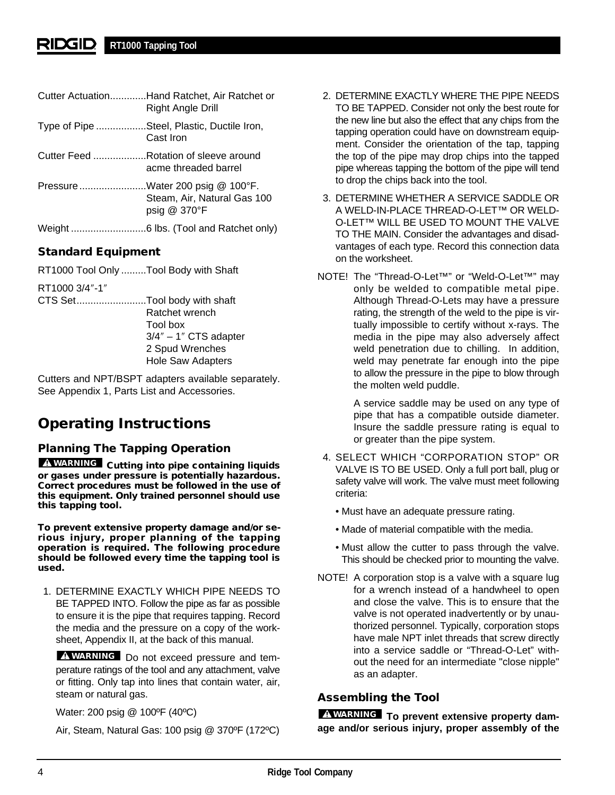#### 21DG1D. **RT1000 Tapping Tool**

|                                  | Cutter ActuationHand Ratchet, Air Ratchet or |
|----------------------------------|----------------------------------------------|
|                                  | Right Angle Drill                            |
| $T_{1}$ in $\sim$ 6.5 Din $\sim$ | Ctaal Dlastia Dustila Iran                   |

- Type of Pipe ..................Steel, Plastic, Ductile Iron, Cast Iron
- Cutter Feed ...................Rotation of sleeve around acme threaded barrel
- Pressure........................Water 200 psig @ 100°F. Steam, Air, Natural Gas 100 psig @ 370°F
- Weight ...........................6 lbs. (Tool and Ratchet only)

## **Standard Equipment**

RT1000 Tool Only .........Tool Body with Shaft

- RT1000 3/4″-1″
- CTS Set.........................Tool body with shaft Ratchet wrench Tool box  $3/4" - 1"$  CTS adapter 2 Spud Wrenches Hole Saw Adapters

Cutters and NPT/BSPT adapters available separately. See Appendix 1, Parts List and Accessories.

# **Operating Instructions**

## **Planning The Tapping Operation**

**WARNING** Cutting into pipe containing liquids **or gases under pressure is potentially hazardous. Correct procedures must be followed in the use of this equipment. Only trained personnel should use this tapping tool.**

**To prevent extensive property damage and/or serious injury, proper planning of the tapping operation is required. The following procedure should be followed every time the tapping tool is used.**

1. DETERMINE EXACTLY WHICH PIPE NEEDS TO BE TAPPED INTO. Follow the pipe as far as possible to ensure it is the pipe that requires tapping. Record the media and the pressure on a copy of the worksheet, Appendix II, at the back of this manual.

Do not exceed pressure and tem-**WARNING** perature ratings of the tool and any attachment, valve or fitting. Only tap into lines that contain water, air, steam or natural gas.

Water: 200 psig @ 100ºF (40ºC)

Air, Steam, Natural Gas: 100 psig @ 370ºF (172ºC)

- 2. DETERMINE EXACTLY WHERE THE PIPE NEEDS TO BE TAPPED. Consider not only the best route for the new line but also the effect that any chips from the tapping operation could have on downstream equipment. Consider the orientation of the tap, tapping the top of the pipe may drop chips into the tapped pipe whereas tapping the bottom of the pipe will tend to drop the chips back into the tool.
- 3. DETERMINE WHETHER A SERVICE SADDLE OR A WELD-IN-PLACE THREAD-O-LET™ OR WELD-O-LET™ WILL BE USED TO MOUNT THE VALVE TO THE MAIN. Consider the advantages and disadvantages of each type. Record this connection data on the worksheet.
- NOTE! The "Thread-O-Let™" or "Weld-O-Let™" may only be welded to compatible metal pipe. Although Thread-O-Lets may have a pressure rating, the strength of the weld to the pipe is virtually impossible to certify without x-rays. The media in the pipe may also adversely affect weld penetration due to chilling. In addition, weld may penetrate far enough into the pipe to allow the pressure in the pipe to blow through the molten weld puddle.

A service saddle may be used on any type of pipe that has a compatible outside diameter. Insure the saddle pressure rating is equal to or greater than the pipe system.

- 4. SELECT WHICH "CORPORATION STOP" OR VALVE IS TO BE USED. Only a full port ball, plug or safety valve will work. The valve must meet following criteria:
	- Must have an adequate pressure rating.
	- Made of material compatible with the media.
	- Must allow the cutter to pass through the valve. This should be checked prior to mounting the valve.
- NOTE! A corporation stop is a valve with a square lug for a wrench instead of a handwheel to open and close the valve. This is to ensure that the valve is not operated inadvertently or by unauthorized personnel. Typically, corporation stops have male NPT inlet threads that screw directly into a service saddle or "Thread-O-Let" without the need for an intermediate "close nipple" as an adapter.

## **Assembling the Tool**

**To prevent extensive property dam-WARNING age and/or serious injury, proper assembly of the**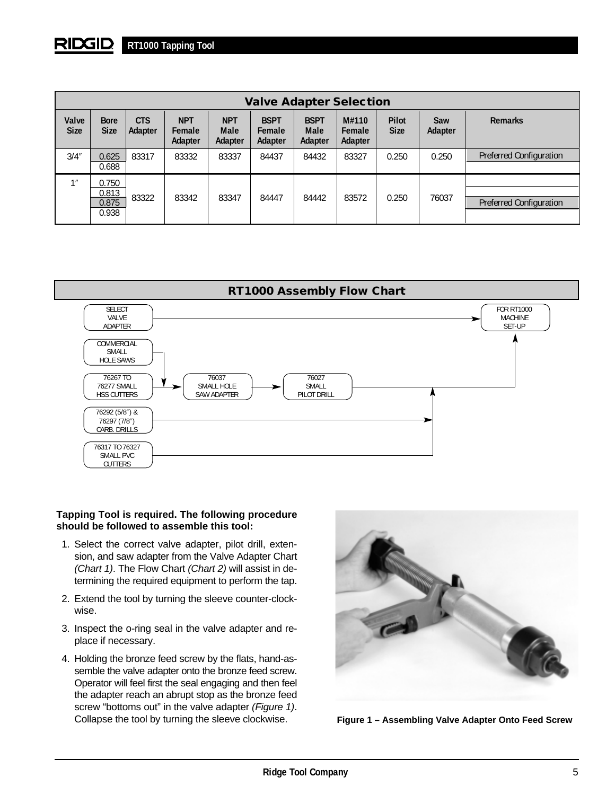#### RIDGID **RT1000 Tapping Tool**

| <b>Valve Adapter Selection</b> |                                  |                       |                                 |                                      |                                  |                                       |                            |                      |                |                                |
|--------------------------------|----------------------------------|-----------------------|---------------------------------|--------------------------------------|----------------------------------|---------------------------------------|----------------------------|----------------------|----------------|--------------------------------|
| Valve<br><b>Size</b>           | <b>Bore</b><br><b>Size</b>       | <b>CTS</b><br>Adapter | <b>NPT</b><br>Female<br>Adapter | <b>NPT</b><br><b>Male</b><br>Adapter | <b>BSPT</b><br>Female<br>Adapter | <b>BSPT</b><br><b>Male</b><br>Adapter | M#110<br>Female<br>Adapter | Pilot<br><b>Size</b> | Saw<br>Adapter | <b>Remarks</b>                 |
| 3/4''                          | 0.625<br>0.688                   | 83317                 | 83332                           | 83337                                | 84437                            | 84432                                 | 83327                      | 0.250                | 0.250          | <b>Preferred Configuration</b> |
| 1                              | 0.750<br>0.813<br>0.875<br>0.938 | 83322                 | 83342                           | 83347                                | 84447                            | 84442                                 | 83572                      | 0.250                | 76037          | <b>Preferred Configuration</b> |



## **Tapping Tool is required. The following procedure should be followed to assemble this tool:**

- 1. Select the correct valve adapter, pilot drill, extension, and saw adapter from the Valve Adapter Chart (Chart 1). The Flow Chart (Chart 2) will assist in determining the required equipment to perform the tap.
- 2. Extend the tool by turning the sleeve counter-clockwise.
- 3. Inspect the o-ring seal in the valve adapter and replace if necessary.
- 4. Holding the bronze feed screw by the flats, hand-assemble the valve adapter onto the bronze feed screw. Operator will feel first the seal engaging and then feel the adapter reach an abrupt stop as the bronze feed screw "bottoms out" in the valve adapter (Figure 1). Collapse the tool by turning the sleeve clockwise.



**Figure 1 – Assembling Valve Adapter Onto Feed Screw**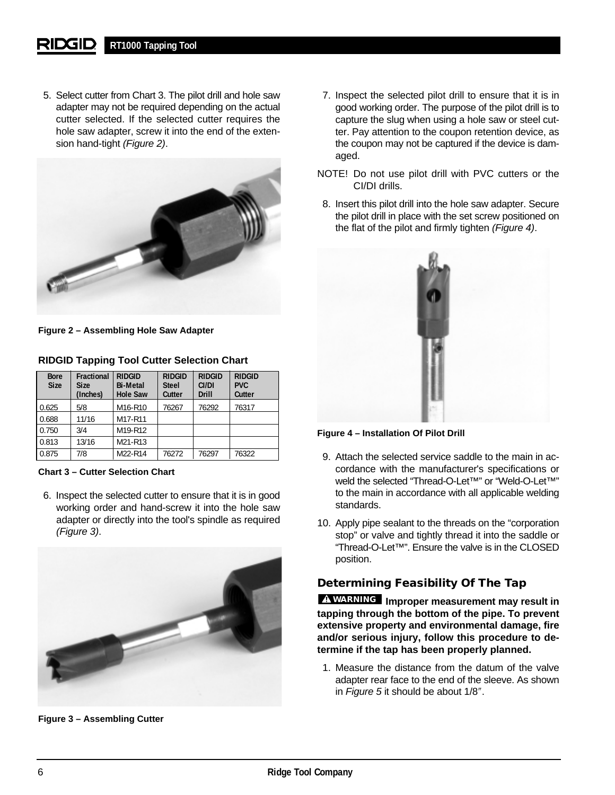#### **RT1000 Tapping Tool** RIDGID

5. Select cutter from Chart 3. The pilot drill and hole saw adapter may not be required depending on the actual cutter selected. If the selected cutter requires the hole saw adapter, screw it into the end of the extension hand-tight (Figure 2).



**Figure 2 – Assembling Hole Saw Adapter**

| <b>Bore</b><br><b>Size</b> | <b>Fractional</b><br><b>Size</b><br>(Inches) | <b>RIDGID</b><br><b>Bi-Metal</b><br><b>Hole Saw</b> | <b>RIDGID</b><br><b>Steel</b><br>Cutter | <b>RIDGID</b><br>CI/DI<br><b>Drill</b> | <b>RIDGID</b><br><b>PVC</b><br>Cutter |
|----------------------------|----------------------------------------------|-----------------------------------------------------|-----------------------------------------|----------------------------------------|---------------------------------------|
| 0.625                      | 5/8                                          | M <sub>16</sub> -R <sub>10</sub>                    | 76267                                   | 76292                                  | 76317                                 |
| 0.688                      | 11/16                                        | M17-R11                                             |                                         |                                        |                                       |
| 0.750                      | 3/4                                          | M19-R12                                             |                                         |                                        |                                       |
| 0.813                      | 13/16                                        | M21-R13                                             |                                         |                                        |                                       |
| 0.875                      | 7/8                                          | M22-R14                                             | 76272                                   | 76297                                  | 76322                                 |

**RIDGID Tapping Tool Cutter Selection Chart**

**Chart 3 – Cutter Selection Chart**

6. Inspect the selected cutter to ensure that it is in good working order and hand-screw it into the hole saw adapter or directly into the tool's spindle as required (Figure 3).



**Figure 3 – Assembling Cutter**

- 7. Inspect the selected pilot drill to ensure that it is in good working order. The purpose of the pilot drill is to capture the slug when using a hole saw or steel cutter. Pay attention to the coupon retention device, as the coupon may not be captured if the device is damaged.
- NOTE! Do not use pilot drill with PVC cutters or the CI/DI drills.
- 8. Insert this pilot drill into the hole saw adapter. Secure the pilot drill in place with the set screw positioned on the flat of the pilot and firmly tighten (Figure 4).



## **Figure 4 – Installation Of Pilot Drill**

- 9. Attach the selected service saddle to the main in accordance with the manufacturer's specifications or weld the selected "Thread-O-Let™" or "Weld-O-Let™" to the main in accordance with all applicable welding standards.
- 10. Apply pipe sealant to the threads on the "corporation stop" or valve and tightly thread it into the saddle or "Thread-O-Let™". Ensure the valve is in the CLOSED position.

## **Determining Feasibility Of The Tap**

**Improper measurement may result in WARNINGtapping through the bottom of the pipe. To prevent extensive property and environmental damage, fire and/or serious injury, follow this procedure to determine if the tap has been properly planned.**

1. Measure the distance from the datum of the valve adapter rear face to the end of the sleeve. As shown in Figure 5 it should be about 1/8″.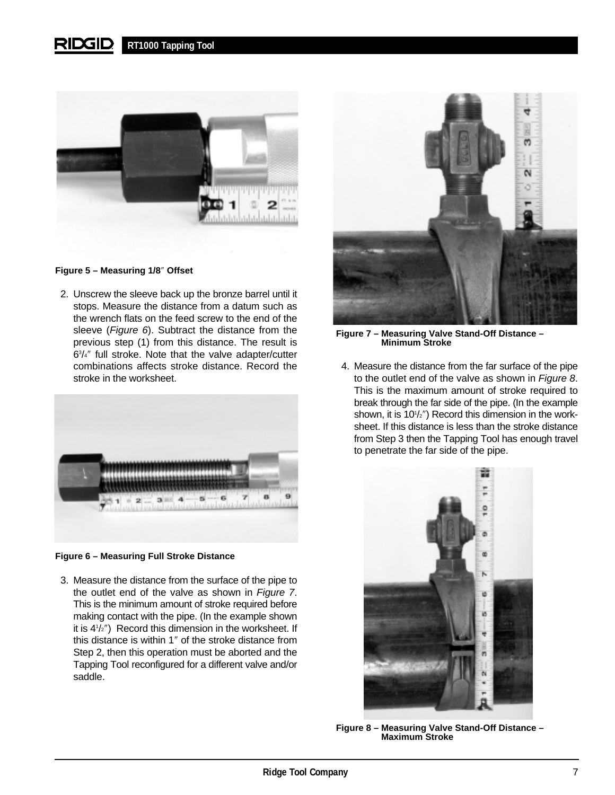

## **Figure 5 – Measuring 1/8**″ **Offset**

2. Unscrew the sleeve back up the bronze barrel until it stops. Measure the distance from a datum such as the wrench flats on the feed screw to the end of the sleeve (Figure 6). Subtract the distance from the previous step (1) from this distance. The result is 63 /4″ full stroke. Note that the valve adapter/cutter combinations affects stroke distance. Record the stroke in the worksheet.



## **Figure 6 – Measuring Full Stroke Distance**

3. Measure the distance from the surface of the pipe to the outlet end of the valve as shown in Figure 7. This is the minimum amount of stroke required before making contact with the pipe. (In the example shown it is 41 /2″) Record this dimension in the worksheet. If this distance is within 1″ of the stroke distance from Step 2, then this operation must be aborted and the Tapping Tool reconfigured for a different valve and/or saddle.



**Figure 7 – Measuring Valve Stand-Off Distance – Minimum Stroke**

4. Measure the distance from the far surface of the pipe to the outlet end of the valve as shown in Figure 8. This is the maximum amount of stroke required to break through the far side of the pipe. (In the example shown, it is 101 /2″) Record this dimension in the worksheet. If this distance is less than the stroke distance from Step 3 then the Tapping Tool has enough travel to penetrate the far side of the pipe.



**Figure 8 – Measuring Valve Stand-Off Distance – Maximum Stroke**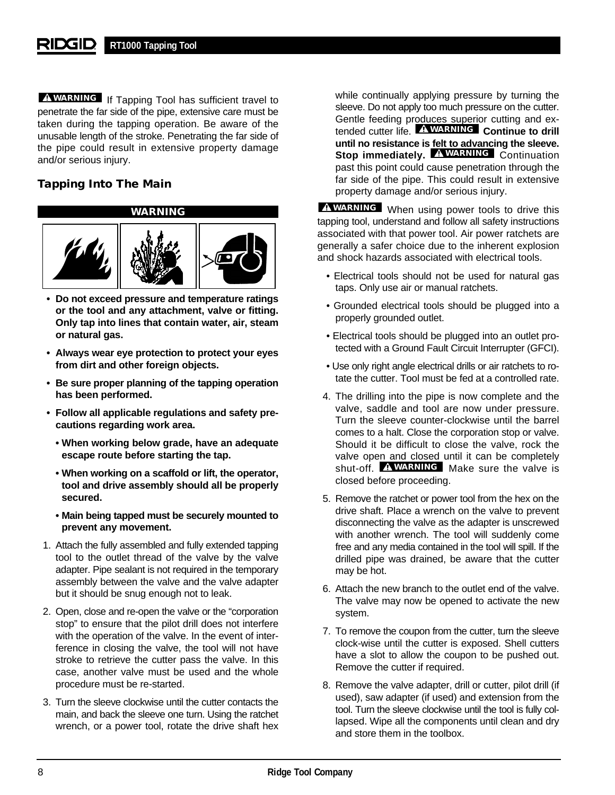## **RT1000 Tapping Tool**

penetrate the far side of the pipe, extensive care must be taken during the tapping operation. Be aware of the unusable length of the stroke. Penetrating the far side of the pipe could result in extensive property damage and/or serious injury.

## **Tapping Into The Main**

**WARNING**



- **Do not exceed pressure and temperature ratings or the tool and any attachment, valve or fitting. Only tap into lines that contain water, air, steam or natural gas.**
- **Always wear eye protection to protect your eyes from dirt and other foreign objects.**
- **Be sure proper planning of the tapping operation has been performed.**
- **Follow all applicable regulations and safety precautions regarding work area.**
	- **When working below grade, have an adequate escape route before starting the tap.**
	- **When working on a scaffold or lift, the operator, tool and drive assembly should all be properly secured.**
	- **Main being tapped must be securely mounted to prevent any movement.**
- 1. Attach the fully assembled and fully extended tapping tool to the outlet thread of the valve by the valve adapter. Pipe sealant is not required in the temporary assembly between the valve and the valve adapter but it should be snug enough not to leak.
- 2. Open, close and re-open the valve or the "corporation stop" to ensure that the pilot drill does not interfere with the operation of the valve. In the event of interference in closing the valve, the tool will not have stroke to retrieve the cutter pass the valve. In this case, another valve must be used and the whole procedure must be re-started.
- 3. Turn the sleeve clockwise until the cutter contacts the main, and back the sleeve one turn. Using the ratchet wrench, or a power tool, rotate the drive shaft hex

**WARNING** If Tapping Tool has sufficient travel to while continually applying pressure by turning the sleeve. Do not apply too much pressure on the cutter. Gentle feeding produces superior cutting and extended cutter life. **EXARNING** Continue to drill **until no resistance is felt to advancing the sleeve. Stop immediately. AWARNING** Continuation past this point could cause penetration through the far side of the pipe. This could result in extensive property damage and/or serious injury.

> **WARNING** When using power tools to drive this tapping tool, understand and follow all safety instructions associated with that power tool. Air power ratchets are generally a safer choice due to the inherent explosion and shock hazards associated with electrical tools.

- Electrical tools should not be used for natural gas taps. Only use air or manual ratchets.
- Grounded electrical tools should be plugged into a properly grounded outlet.
- Electrical tools should be plugged into an outlet protected with a Ground Fault Circuit Interrupter (GFCI).
- Use only right angle electrical drills or air ratchets to rotate the cutter. Tool must be fed at a controlled rate.
- 4. The drilling into the pipe is now complete and the valve, saddle and tool are now under pressure. Turn the sleeve counter-clockwise until the barrel comes to a halt. Close the corporation stop or valve. Should it be difficult to close the valve, rock the valve open and closed until it can be completely shut-off. **AWARNING** Make sure the valve is closed before proceeding.
- 5. Remove the ratchet or power tool from the hex on the drive shaft. Place a wrench on the valve to prevent disconnecting the valve as the adapter is unscrewed with another wrench. The tool will suddenly come free and any media contained in the tool will spill. If the drilled pipe was drained, be aware that the cutter may be hot.
- 6. Attach the new branch to the outlet end of the valve. The valve may now be opened to activate the new system.
- 7. To remove the coupon from the cutter, turn the sleeve clock-wise until the cutter is exposed. Shell cutters have a slot to allow the coupon to be pushed out. Remove the cutter if required.
- 8. Remove the valve adapter, drill or cutter, pilot drill (if used), saw adapter (if used) and extension from the tool. Turn the sleeve clockwise until the tool is fully collapsed. Wipe all the components until clean and dry and store them in the toolbox.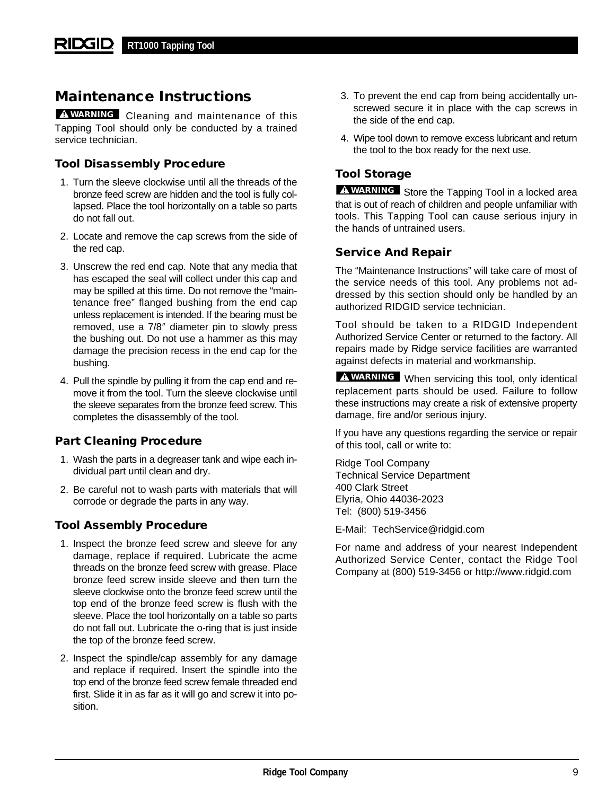# **Maintenance Instructions**

**WARNING** Cleaning and maintenance of this Tapping Tool should only be conducted by a trained service technician.

## **Tool Disassembly Procedure**

- 1. Turn the sleeve clockwise until all the threads of the bronze feed screw are hidden and the tool is fully collapsed. Place the tool horizontally on a table so parts do not fall out.
- 2. Locate and remove the cap screws from the side of the red cap.
- 3. Unscrew the red end cap. Note that any media that has escaped the seal will collect under this cap and may be spilled at this time. Do not remove the "maintenance free" flanged bushing from the end cap unless replacement is intended. If the bearing must be removed, use a 7/8″ diameter pin to slowly press the bushing out. Do not use a hammer as this may damage the precision recess in the end cap for the bushing.
- 4. Pull the spindle by pulling it from the cap end and remove it from the tool. Turn the sleeve clockwise until the sleeve separates from the bronze feed screw. This completes the disassembly of the tool.

## **Part Cleaning Procedure**

- 1. Wash the parts in a degreaser tank and wipe each individual part until clean and dry.
- 2. Be careful not to wash parts with materials that will corrode or degrade the parts in any way.

## **Tool Assembly Procedure**

- 1. Inspect the bronze feed screw and sleeve for any damage, replace if required. Lubricate the acme threads on the bronze feed screw with grease. Place bronze feed screw inside sleeve and then turn the sleeve clockwise onto the bronze feed screw until the top end of the bronze feed screw is flush with the sleeve. Place the tool horizontally on a table so parts do not fall out. Lubricate the o-ring that is just inside the top of the bronze feed screw.
- 2. Inspect the spindle/cap assembly for any damage and replace if required. Insert the spindle into the top end of the bronze feed screw female threaded end first. Slide it in as far as it will go and screw it into position.
- 3. To prevent the end cap from being accidentally unscrewed secure it in place with the cap screws in the side of the end cap.
- 4. Wipe tool down to remove excess lubricant and return the tool to the box ready for the next use.

## **Tool Storage**

**WARNING** Store the Tapping Tool in a locked area that is out of reach of children and people unfamiliar with tools. This Tapping Tool can cause serious injury in the hands of untrained users.

## **Service And Repair**

The "Maintenance Instructions" will take care of most of the service needs of this tool. Any problems not addressed by this section should only be handled by an authorized RIDGID service technician.

Tool should be taken to a RIDGID Independent Authorized Service Center or returned to the factory. All repairs made by Ridge service facilities are warranted against defects in material and workmanship.

**WARNING** When servicing this tool, only identical replacement parts should be used. Failure to follow these instructions may create a risk of extensive property damage, fire and/or serious injury.

If you have any questions regarding the service or repair of this tool, call or write to:

Ridge Tool Company Technical Service Department 400 Clark Street Elyria, Ohio 44036-2023 Tel: (800) 519-3456

E-Mail: TechService@ridgid.com

For name and address of your nearest Independent Authorized Service Center, contact the Ridge Tool Company at (800) 519-3456 or http://www.ridgid.com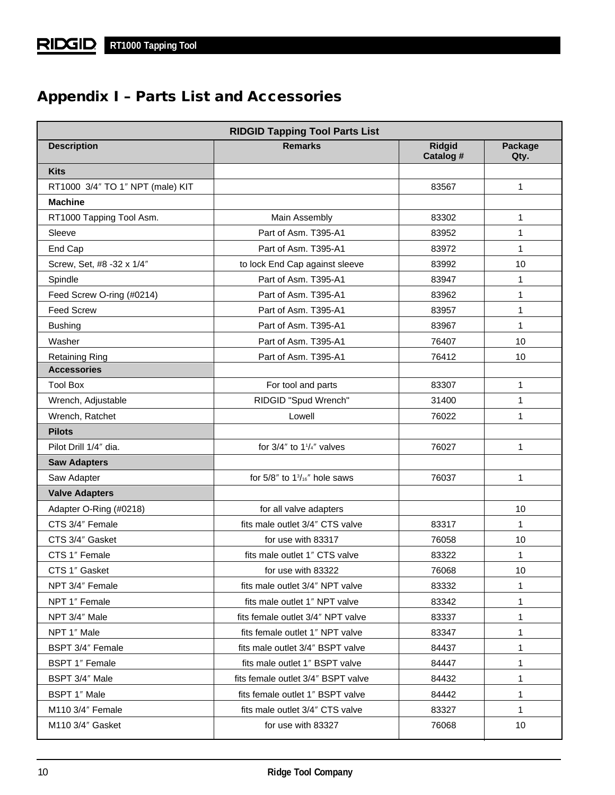# **Appendix I – Parts List and Accessories**

| <b>RIDGID Tapping Tool Parts List</b> |                                            |                            |                 |
|---------------------------------------|--------------------------------------------|----------------------------|-----------------|
| <b>Description</b>                    | <b>Remarks</b>                             | <b>Ridgid</b><br>Catalog # | Package<br>Qty. |
| <b>Kits</b>                           |                                            |                            |                 |
| RT1000 3/4" TO 1" NPT (male) KIT      |                                            | 83567                      | $\mathbf{1}$    |
| <b>Machine</b>                        |                                            |                            |                 |
| RT1000 Tapping Tool Asm.              | Main Assembly                              | 83302                      | 1               |
| Sleeve                                | Part of Asm. T395-A1                       | 83952                      | 1               |
| End Cap                               | Part of Asm. T395-A1                       | 83972                      | 1               |
| Screw, Set, #8 -32 x 1/4"             | to lock End Cap against sleeve             | 83992                      | 10              |
| Spindle                               | Part of Asm. T395-A1                       | 83947                      | 1               |
| Feed Screw O-ring (#0214)             | Part of Asm. T395-A1                       | 83962                      | 1               |
| <b>Feed Screw</b>                     | Part of Asm. T395-A1                       | 83957                      | 1               |
| <b>Bushing</b>                        | Part of Asm. T395-A1                       | 83967                      | 1               |
| Washer                                | Part of Asm. T395-A1                       | 76407                      | 10              |
| <b>Retaining Ring</b>                 | Part of Asm. T395-A1                       | 76412                      | 10              |
| <b>Accessories</b>                    |                                            |                            |                 |
| <b>Tool Box</b>                       | For tool and parts                         | 83307                      | 1               |
| Wrench, Adjustable                    | RIDGID "Spud Wrench"                       | 31400                      | 1               |
| Wrench, Ratchet                       | Lowell                                     | 76022                      | 1               |
| <b>Pilots</b>                         |                                            |                            |                 |
| Pilot Drill 1/4" dia.                 | for $3/4$ " to $1^{1}/4$ " valves          | 76027                      | 1               |
| <b>Saw Adapters</b>                   |                                            |                            |                 |
| Saw Adapter                           | for $5/8$ " to $1\frac{3}{16}$ " hole saws | 76037                      | 1               |
| <b>Valve Adapters</b>                 |                                            |                            |                 |
| Adapter O-Ring (#0218)                | for all valve adapters                     |                            | 10              |
| CTS 3/4" Female                       | fits male outlet 3/4" CTS valve            | 83317                      | 1               |
| CTS 3/4" Gasket                       | for use with 83317                         | 76058                      | 10              |
| CTS 1" Female                         | fits male outlet 1" CTS valve              | 83322                      | 1               |
| CTS 1" Gasket                         | for use with 83322                         | 76068                      | 10              |
| NPT 3/4" Female                       | fits male outlet 3/4" NPT valve            | 83332                      | 1.              |
| NPT 1" Female                         | fits male outlet 1" NPT valve              | 83342                      | 1               |
| NPT 3/4" Male                         | fits female outlet 3/4" NPT valve          | 83337                      | 1               |
| NPT 1" Male                           | fits female outlet 1" NPT valve            | 83347                      | 1               |
| BSPT 3/4" Female                      | fits male outlet 3/4" BSPT valve           | 84437                      | 1               |
| <b>BSPT 1" Female</b>                 | fits male outlet 1" BSPT valve             | 84447                      | 1               |
| BSPT 3/4" Male                        | fits female outlet 3/4" BSPT valve         | 84432                      | 1               |
| BSPT 1" Male                          | fits female outlet 1" BSPT valve           | 84442                      | 1               |
| M110 3/4" Female                      | fits male outlet 3/4" CTS valve            | 83327                      | 1               |
| M110 3/4" Gasket                      | for use with 83327                         | 76068                      | 10              |
|                                       |                                            |                            |                 |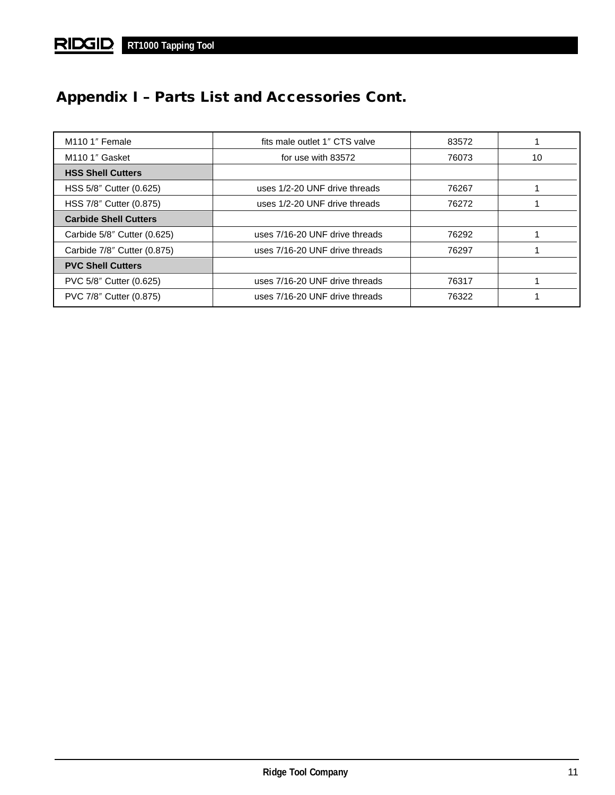# **Appendix I – Parts List and Accessories Cont.**

| M <sub>110</sub> 1" Female   | fits male outlet 1" CTS valve  | 83572 |    |
|------------------------------|--------------------------------|-------|----|
| M <sub>110</sub> 1" Gasket   | for use with 83572             | 76073 | 10 |
| <b>HSS Shell Cutters</b>     |                                |       |    |
| HSS 5/8" Cutter (0.625)      | uses 1/2-20 UNF drive threads  | 76267 |    |
| HSS 7/8" Cutter (0.875)      | uses 1/2-20 UNF drive threads  | 76272 |    |
| <b>Carbide Shell Cutters</b> |                                |       |    |
| Carbide 5/8" Cutter (0.625)  | uses 7/16-20 UNF drive threads | 76292 |    |
| Carbide 7/8" Cutter (0.875)  | uses 7/16-20 UNF drive threads | 76297 |    |
| <b>PVC Shell Cutters</b>     |                                |       |    |
| PVC 5/8" Cutter (0.625)      | uses 7/16-20 UNF drive threads | 76317 |    |
| PVC 7/8" Cutter (0.875)      | uses 7/16-20 UNF drive threads | 76322 |    |
|                              |                                |       |    |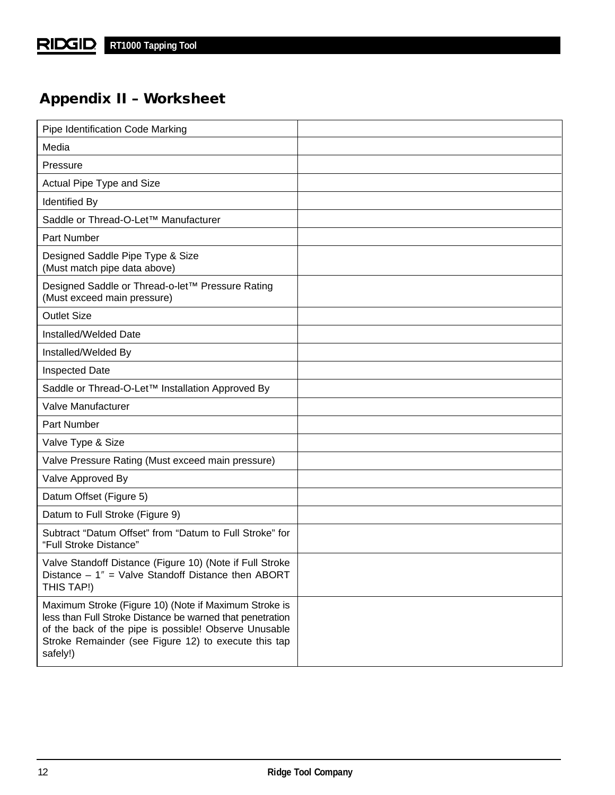# **Appendix II – Worksheet**

| Pipe Identification Code Marking                                                                                                                                                                                                                |  |
|-------------------------------------------------------------------------------------------------------------------------------------------------------------------------------------------------------------------------------------------------|--|
| Media                                                                                                                                                                                                                                           |  |
| Pressure                                                                                                                                                                                                                                        |  |
| Actual Pipe Type and Size                                                                                                                                                                                                                       |  |
| <b>Identified By</b>                                                                                                                                                                                                                            |  |
| Saddle or Thread-O-Let™ Manufacturer                                                                                                                                                                                                            |  |
| Part Number                                                                                                                                                                                                                                     |  |
| Designed Saddle Pipe Type & Size<br>(Must match pipe data above)                                                                                                                                                                                |  |
| Designed Saddle or Thread-o-let™ Pressure Rating<br>(Must exceed main pressure)                                                                                                                                                                 |  |
| <b>Outlet Size</b>                                                                                                                                                                                                                              |  |
| Installed/Welded Date                                                                                                                                                                                                                           |  |
| Installed/Welded By                                                                                                                                                                                                                             |  |
| Inspected Date                                                                                                                                                                                                                                  |  |
| Saddle or Thread-O-Let™ Installation Approved By                                                                                                                                                                                                |  |
| Valve Manufacturer                                                                                                                                                                                                                              |  |
| Part Number                                                                                                                                                                                                                                     |  |
| Valve Type & Size                                                                                                                                                                                                                               |  |
| Valve Pressure Rating (Must exceed main pressure)                                                                                                                                                                                               |  |
| Valve Approved By                                                                                                                                                                                                                               |  |
| Datum Offset (Figure 5)                                                                                                                                                                                                                         |  |
| Datum to Full Stroke (Figure 9)                                                                                                                                                                                                                 |  |
| Subtract "Datum Offset" from "Datum to Full Stroke" for<br>"Full Stroke Distance"                                                                                                                                                               |  |
| Valve Standoff Distance (Figure 10) (Note if Full Stroke<br>Distance $-1$ " = Valve Standoff Distance then ABORT<br>THIS TAP!)                                                                                                                  |  |
| Maximum Stroke (Figure 10) (Note if Maximum Stroke is<br>less than Full Stroke Distance be warned that penetration<br>of the back of the pipe is possible! Observe Unusable<br>Stroke Remainder (see Figure 12) to execute this tap<br>safely!) |  |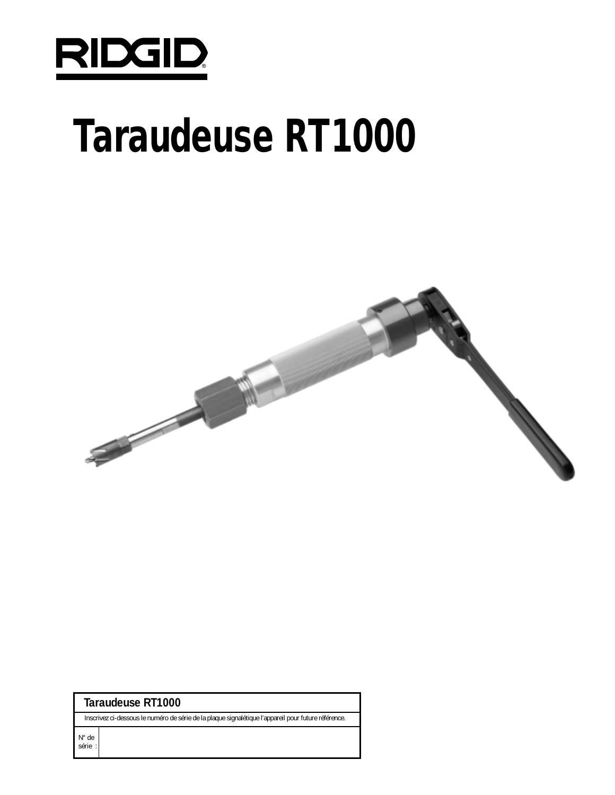

# **Taraudeuse RT1000**



| Taraudeuse RT1000 |  |
|-------------------|--|
|-------------------|--|

Inscrivez ci-dessous le numéro de série de la plaque signalétique l'appareil pour future référence.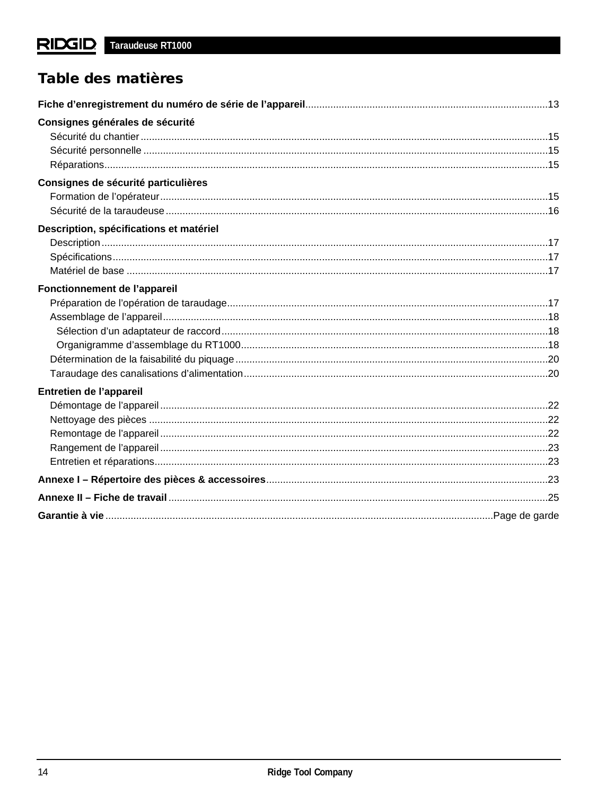# Table des matières

| Consignes générales de sécurité         |  |
|-----------------------------------------|--|
|                                         |  |
|                                         |  |
|                                         |  |
| Consignes de sécurité particulières     |  |
|                                         |  |
|                                         |  |
| Description, spécifications et matériel |  |
|                                         |  |
|                                         |  |
|                                         |  |
| Fonctionnement de l'appareil            |  |
|                                         |  |
|                                         |  |
|                                         |  |
|                                         |  |
|                                         |  |
|                                         |  |
| Entretien de l'appareil                 |  |
|                                         |  |
|                                         |  |
|                                         |  |
|                                         |  |
|                                         |  |
|                                         |  |
|                                         |  |
|                                         |  |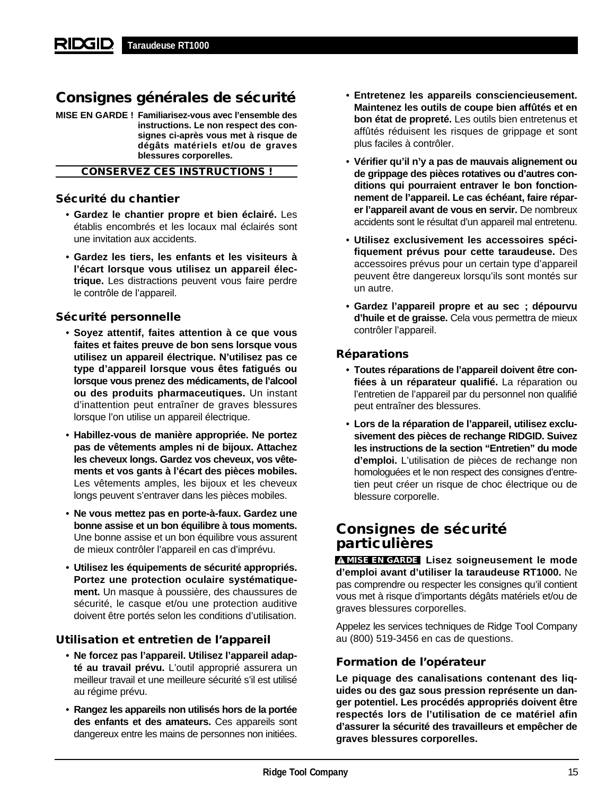# **Consignes générales de sécurité**

**MISE EN GARDE ! Familiarisez-vous avec l'ensemble des instructions. Le non respect des consignes ci-après vous met à risque de dégâts matériels et/ou de graves blessures corporelles.**

## **CONSERVEZ CES INSTRUCTIONS !**

## **Sécurité du chantier**

- **Gardez le chantier propre et bien éclairé.** Les établis encombrés et les locaux mal éclairés sont une invitation aux accidents.
- **Gardez les tiers, les enfants et les visiteurs à l'écart lorsque vous utilisez un appareil électrique.** Les distractions peuvent vous faire perdre le contrôle de l'appareil.

## **Sécurité personnelle**

- **Soyez attentif, faites attention à ce que vous faites et faites preuve de bon sens lorsque vous utilisez un appareil électrique. N'utilisez pas ce type d'appareil lorsque vous êtes fatigués ou lorsque vous prenez des médicaments, de l'alcool ou des produits pharmaceutiques.** Un instant d'inattention peut entraîner de graves blessures lorsque l'on utilise un appareil électrique.
- **Habillez-vous de manière appropriée. Ne portez pas de vêtements amples ni de bijoux. Attachez les cheveux longs. Gardez vos cheveux, vos vêtements et vos gants à l'écart des pièces mobiles.** Les vêtements amples, les bijoux et les cheveux longs peuvent s'entraver dans les pièces mobiles.
- **Ne vous mettez pas en porte-à-faux. Gardez une bonne assise et un bon équilibre à tous moments.** Une bonne assise et un bon équilibre vous assurent de mieux contrôler l'appareil en cas d'imprévu.
- **Utilisez les équipements de sécurité appropriés. Portez une protection oculaire systématiquement.** Un masque à poussière, des chaussures de sécurité, le casque et/ou une protection auditive doivent être portés selon les conditions d'utilisation.

## **Utilisation et entretien de l'appareil**

- **Ne forcez pas l'appareil. Utilisez l'appareil adapté au travail prévu.** L'outil approprié assurera un meilleur travail et une meilleure sécurité s'il est utilisé au régime prévu.
- **Rangez les appareils non utilisés hors de la portée des enfants et des amateurs.** Ces appareils sont dangereux entre les mains de personnes non initiées.
- **Entretenez les appareils consciencieusement. Maintenez les outils de coupe bien affûtés et en bon état de propreté.** Les outils bien entretenus et affûtés réduisent les risques de grippage et sont plus faciles à contrôler.
- **Vérifier qu'il n'y a pas de mauvais alignement ou de grippage des pièces rotatives ou d'autres conditions qui pourraient entraver le bon fonctionnement de l'appareil. Le cas échéant, faire réparer l'appareil avant de vous en servir.** De nombreux accidents sont le résultat d'un appareil mal entretenu.
- **Utilisez exclusivement les accessoires spécifiquement prévus pour cette taraudeuse.** Des accessoires prévus pour un certain type d'appareil peuvent être dangereux lorsqu'ils sont montés sur un autre.
- **Gardez l'appareil propre et au sec ; dépourvu d'huile et de graisse.** Cela vous permettra de mieux contrôler l'appareil.

## **Réparations**

- **Toutes réparations de l'appareil doivent être confiées à un réparateur qualifié.** La réparation ou l'entretien de l'appareil par du personnel non qualifié peut entraîner des blessures.
- **Lors de la réparation de l'appareil, utilisez exclusivement des pièces de rechange RIDGID. Suivez les instructions de la section "Entretien" du mode d'emploi.** L'utilisation de pièces de rechange non homologuées et le non respect des consignes d'entretien peut créer un risque de choc électrique ou de blessure corporelle.

# **Consignes de sécurité particulières**

**MISE EN GARDE** Lisez soigneusement le mode **d'emploi avant d'utiliser la taraudeuse RT1000.** Ne pas comprendre ou respecter les consignes qu'il contient vous met à risque d'importants dégâts matériels et/ou de graves blessures corporelles.

Appelez les services techniques de Ridge Tool Company au (800) 519-3456 en cas de questions.

## **Formation de l'opérateur**

**Le piquage des canalisations contenant des liquides ou des gaz sous pression représente un danger potentiel. Les procédés appropriés doivent être respectés lors de l'utilisation de ce matériel afin d'assurer la sécurité des travailleurs et empêcher de graves blessures corporelles.**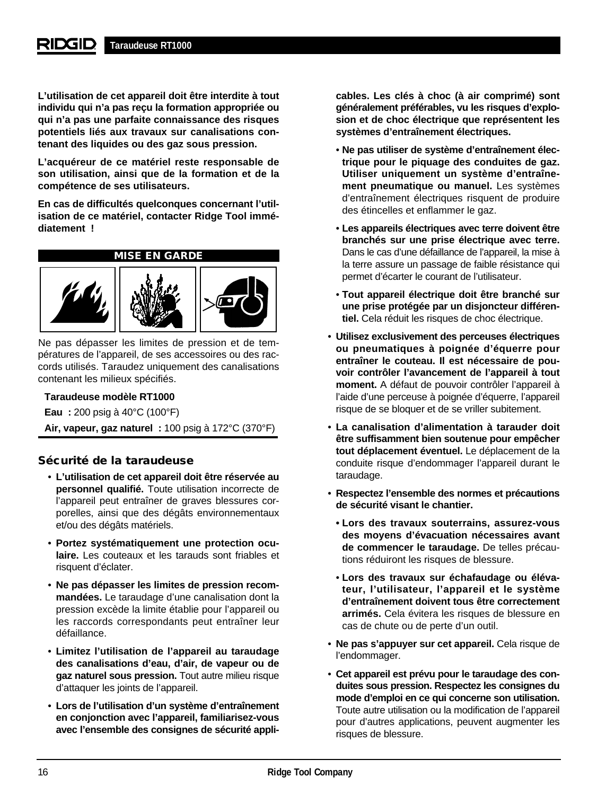**L'utilisation de cet appareil doit être interdite à tout individu qui n'a pas reçu la formation appropriée ou qui n'a pas une parfaite connaissance des risques potentiels liés aux travaux sur canalisations contenant des liquides ou des gaz sous pression.**

**L'acquéreur de ce matériel reste responsable de son utilisation, ainsi que de la formation et de la compétence de ses utilisateurs.**

**En cas de difficultés quelconques concernant l'utilisation de ce matériel, contacter Ridge Tool immédiatement !**



Ne pas dépasser les limites de pression et de températures de l'appareil, de ses accessoires ou des raccords utilisés. Taraudez uniquement des canalisations contenant les milieux spécifiés.

## **Taraudeuse modèle RT1000**

**Eau :** 200 psig à 40°C (100°F) **Air, vapeur, gaz naturel :** 100 psig à 172°C (370°F)

## **Sécurité de la taraudeuse**

- **L'utilisation de cet appareil doit être réservée au personnel qualifié.** Toute utilisation incorrecte de l'appareil peut entraîner de graves blessures corporelles, ainsi que des dégâts environnementaux et/ou des dégâts matériels.
- **Portez systématiquement une protection oculaire.** Les couteaux et les tarauds sont friables et risquent d'éclater.
- **Ne pas dépasser les limites de pression recommandées.** Le taraudage d'une canalisation dont la pression excède la limite établie pour l'appareil ou les raccords correspondants peut entraîner leur défaillance.
- **Limitez l'utilisation de l'appareil au taraudage des canalisations d'eau, d'air, de vapeur ou de gaz naturel sous pression.** Tout autre milieu risque d'attaquer les joints de l'appareil.
- **Lors de l'utilisation d'un système d'entraînement en conjonction avec l'appareil, familiarisez-vous avec l'ensemble des consignes de sécurité appli-**

**cables. Les clés à choc (à air comprimé) sont généralement préférables, vu les risques d'explosion et de choc électrique que représentent les systèmes d'entraînement électriques.**

- **Ne pas utiliser de système d'entraînement électrique pour le piquage des conduites de gaz. Utiliser uniquement un système d'entraînement pneumatique ou manuel.** Les systèmes d'entraînement électriques risquent de produire des étincelles et enflammer le gaz.
- **Les appareils électriques avec terre doivent être branchés sur une prise électrique avec terre.** Dans le cas d'une défaillance de l'appareil, la mise à la terre assure un passage de faible résistance qui permet d'écarter le courant de l'utilisateur.
- **Tout appareil électrique doit être branché sur une prise protégée par un disjoncteur différentiel.** Cela réduit les risques de choc électrique.
- **Utilisez exclusivement des perceuses électriques ou pneumatiques à poignée d'équerre pour entraîner le couteau. Il est nécessaire de pouvoir contrôler l'avancement de l'appareil à tout moment.** A défaut de pouvoir contrôler l'appareil à l'aide d'une perceuse à poignée d'équerre, l'appareil risque de se bloquer et de se vriller subitement.
- **La canalisation d'alimentation à tarauder doit être suffisamment bien soutenue pour empêcher tout déplacement éventuel.** Le déplacement de la conduite risque d'endommager l'appareil durant le taraudage.
- **Respectez l'ensemble des normes et précautions de sécurité visant le chantier.**
	- **Lors des travaux souterrains, assurez-vous des moyens d'évacuation nécessaires avant de commencer le taraudage.** De telles précautions réduiront les risques de blessure.
- **Lors des travaux sur échafaudage ou élévateur, l'utilisateur, l'appareil et le système d'entraînement doivent tous être correctement arrimés.** Cela évitera les risques de blessure en cas de chute ou de perte d'un outil.
- **Ne pas s'appuyer sur cet appareil.** Cela risque de l'endommager.
- **Cet appareil est prévu pour le taraudage des conduites sous pression. Respectez les consignes du mode d'emploi en ce qui concerne son utilisation.** Toute autre utilisation ou la modification de l'appareil pour d'autres applications, peuvent augmenter les risques de blessure.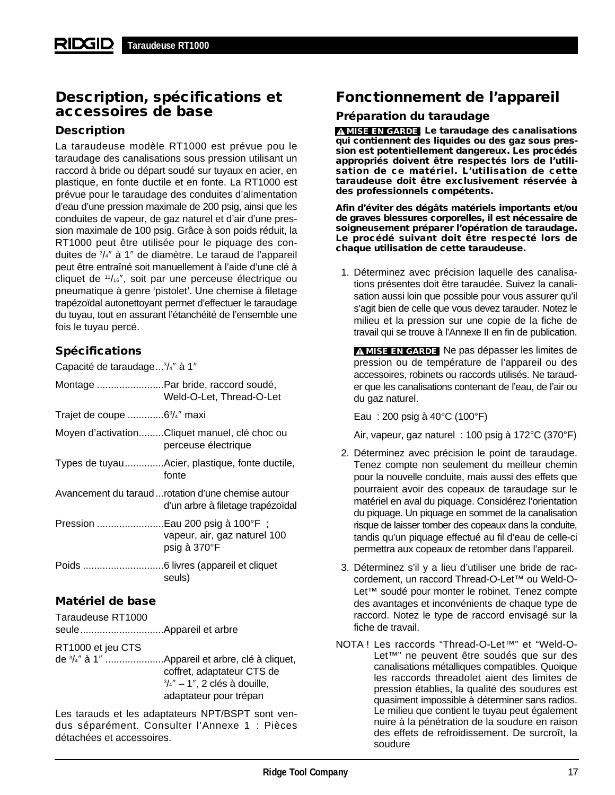# **Description, spécifications et accessoires de base**

## **Description**

La taraudeuse modèle RT1000 est prévue pou le taraudage des canalisations sous pression utilisant un raccord à bride ou départ soudé sur tuyaux en acier, en plastique, en fonte ductile et en fonte. La RT1000 est prévue pour le taraudage des conduites d'alimentation d'eau d'une pression maximale de 200 psig, ainsi que les conduites de vapeur, de gaz naturel et d'air d'une pression maximale de 100 psig. Grâce à son poids réduit, la RT1000 peut être utilisée pour le piquage des conduites de 3 /4″ à 1″ de diamètre. Le taraud de l'appareil peut être entraîné soit manuellement à l'aide d'une clé à cliquet de 11/16″, soit par une perceuse électrique ou pneumatique à genre 'pistolet'. Une chemise à filetage trapézoïdal autonettoyant permet d'effectuer le taraudage du tuyau, tout en assurant l'étanchéité de l'ensemble une fois le tuyau percé.

## **Spécifications**

Capacité de taraudage...<sup>3</sup>/4" à 1"

|                                         | Montage Par bride, raccord soudé,<br>Weld-O-Let, Thread-O-Let                            |
|-----------------------------------------|------------------------------------------------------------------------------------------|
| Trajet de coupe 6 <sup>3</sup> /4" maxi |                                                                                          |
|                                         | Moyen d'activationCliquet manuel, clé choc ou<br>perceuse électrique                     |
|                                         | Types de tuyauAcier, plastique, fonte ductile,<br>fonte                                  |
|                                         | Avancement du taraud  rotation d'une chemise autour<br>d'un arbre à filetage trapézoïdal |
|                                         | vapeur, air, gaz naturel 100<br>psig à 370°F                                             |
|                                         | seuls)                                                                                   |

## **Matériel de base**

Taraudeuse RT1000 seule..............................Appareil et arbre

RT1000 et jeu CTS

de 3 /4″ à 1″ .....................Appareil et arbre, clé à cliquet, coffret, adaptateur CTS de  $\frac{3}{4}$ " – 1", 2 clés à douille, adaptateur pour trépan

Les tarauds et les adaptateurs NPT/BSPT sont vendus séparément. Consulter l'Annexe 1 : Pièces détachées et accessoires.

# **Fonctionnement de l'appareil**

## **Préparation du taraudage**

**MISE EN GARDE** Le taraudage des canalisations **qui contiennent des liquides ou des gaz sous pression est potentiellement dangereux. Les procédés appropriés doivent être respectés lors de l'utilisation de ce matériel. L'utilisation de cette taraudeuse doit être exclusivement réservée à des professionnels compétents.**

**Afin d'éviter des dégâts matériels importants et/ou de graves blessures corporelles, il est nécessaire de soigneusement préparer l'opération de taraudage. Le procédé suivant doit être respecté lors de chaque utilisation de cette taraudeuse.**

1. Déterminez avec précision laquelle des canalisations présentes doit être taraudée. Suivez la canalisation aussi loin que possible pour vous assurer qu'il s'agit bien de celle que vous devez tarauder. Notez le milieu et la pression sur une copie de la fiche de travail qui se trouve à l'Annexe II en fin de publication.

**MISE EN GARDE** Ne pas dépasser les limites de pression ou de température de l'appareil ou des accessoires, robinets ou raccords utilisés. Ne tarauder que les canalisations contenant de l'eau, de l'air ou du gaz naturel.

Eau : 200 psig à 40°C (100°F)

Air, vapeur, gaz naturel : 100 psig à 172°C (370°F)

- 2. Déterminez avec précision le point de taraudage. Tenez compte non seulement du meilleur chemin pour la nouvelle conduite, mais aussi des effets que pourraient avoir des copeaux de taraudage sur le matériel en aval du piquage. Considérez l'orientation du piquage. Un piquage en sommet de la canalisation risque de laisser tomber des copeaux dans la conduite, tandis qu'un piquage effectué au fil d'eau de celle-ci permettra aux copeaux de retomber dans l'appareil.
- 3. Déterminez s'il y a lieu d'utiliser une bride de raccordement, un raccord Thread-O-Let™ ou Weld-O-Let™ soudé pour monter le robinet. Tenez compte des avantages et inconvénients de chaque type de raccord. Notez le type de raccord envisagé sur la fiche de travail.
- NOTA ! Les raccords "Thread-O-Let™" et "Weld-O-Let™" ne peuvent être soudés que sur des canalisations métalliques compatibles. Quoique les raccords threadolet aient des limites de pression établies, la qualité des soudures est quasiment impossible à déterminer sans radios. Le milieu que contient le tuyau peut également nuire à la pénétration de la soudure en raison des effets de refroidissement. De surcroît, la soudure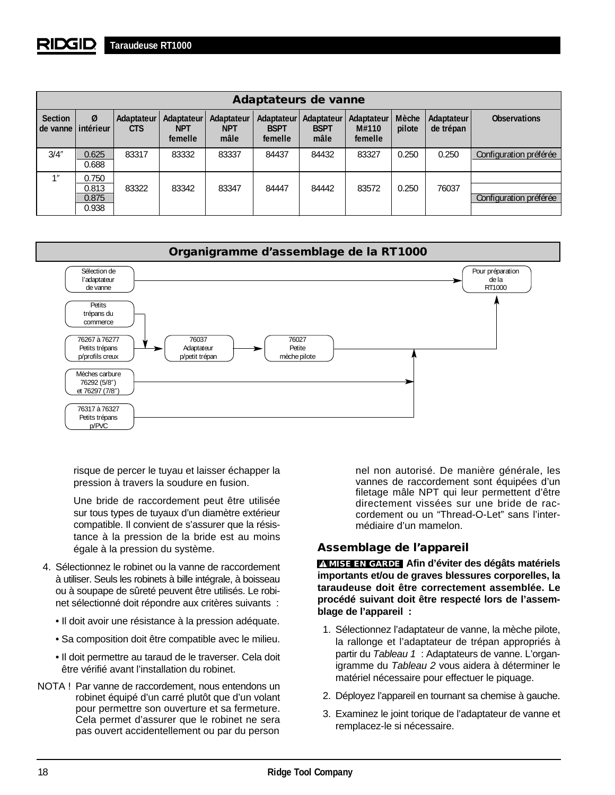|                                       | Adaptateurs de vanne             |                          |                                     |                                  |                                      |                                   |                                |                 |                         |                        |
|---------------------------------------|----------------------------------|--------------------------|-------------------------------------|----------------------------------|--------------------------------------|-----------------------------------|--------------------------------|-----------------|-------------------------|------------------------|
| <b>Section</b><br>de vanne lintérieur | Ø                                | Adaptateur<br><b>CTS</b> | Adaptateur<br><b>NPT</b><br>femelle | Adaptateur<br><b>NPT</b><br>mâle | Adaptateur<br><b>BSPT</b><br>femelle | Adaptateur<br><b>BSPT</b><br>mâle | Adaptateur<br>M#110<br>femelle | Mèche<br>pilote | Adaptateur<br>de trépan | <b>Observations</b>    |
| 3/4''                                 | 0.625<br>0.688                   | 83317                    | 83332                               | 83337                            | 84437                                | 84432                             | 83327                          | 0.250           | 0.250                   | Configuration préférée |
| 11                                    | 0.750<br>0.813<br>0.875<br>0.938 | 83322                    | 83342                               | 83347                            | 84447                                | 84442                             | 83572                          | 0.250           | 76037                   | Configuration préférée |



risque de percer le tuyau et laisser échapper la pression à travers la soudure en fusion.

Une bride de raccordement peut être utilisée sur tous types de tuyaux d'un diamètre extérieur compatible. Il convient de s'assurer que la résistance à la pression de la bride est au moins égale à la pression du système.

- 4. Sélectionnez le robinet ou la vanne de raccordement à utiliser. Seuls les robinets à bille intégrale, à boisseau ou à soupape de sûreté peuvent être utilisés. Le robinet sélectionné doit répondre aux critères suivants :
	- Il doit avoir une résistance à la pression adéquate.
	- Sa composition doit être compatible avec le milieu.
	- Il doit permettre au taraud de le traverser. Cela doit être vérifié avant l'installation du robinet.
- NOTA ! Par vanne de raccordement, nous entendons un robinet équipé d'un carré plutôt que d'un volant pour permettre son ouverture et sa fermeture. Cela permet d'assurer que le robinet ne sera pas ouvert accidentellement ou par du person

nel non autorisé. De manière générale, les vannes de raccordement sont équipées d'un filetage mâle NPT qui leur permettent d'être directement vissées sur une bride de raccordement ou un "Thread-O-Let" sans l'intermédiaire d'un mamelon.

## **Assemblage de l'appareil**

**Afin d'éviter des dégâts matériels MISE EN GARDE importants et/ou de graves blessures corporelles, la taraudeuse doit être correctement assemblée. Le procédé suivant doit être respecté lors de l'assemblage de l'appareil :**

- 1. Sélectionnez l'adaptateur de vanne, la mèche pilote, la rallonge et l'adaptateur de trépan appropriés à partir du Tableau 1 : Adaptateurs de vanne. L'organigramme du Tableau 2 vous aidera à déterminer le matériel nécessaire pour effectuer le piquage.
- 2. Déployez l'appareil en tournant sa chemise à gauche.
- 3. Examinez le joint torique de l'adaptateur de vanne et remplacez-le si nécessaire.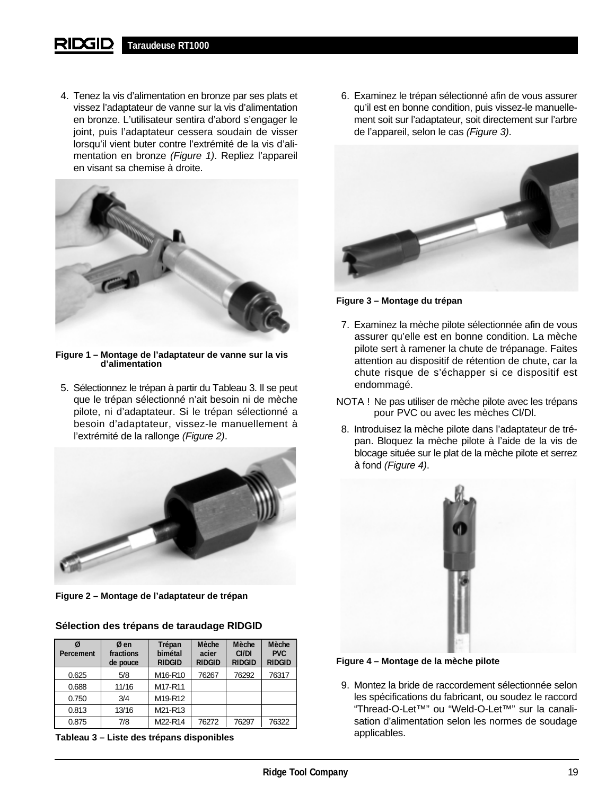4. Tenez la vis d'alimentation en bronze par ses plats et vissez l'adaptateur de vanne sur la vis d'alimentation en bronze. L'utilisateur sentira d'abord s'engager le joint, puis l'adaptateur cessera soudain de visser lorsqu'il vient buter contre l'extrémité de la vis d'alimentation en bronze (Figure 1). Repliez l'appareil en visant sa chemise à droite.



**Figure 1 – Montage de l'adaptateur de vanne sur la vis d'alimentation**

5. Sélectionnez le trépan à partir du Tableau 3. Il se peut que le trépan sélectionné n'ait besoin ni de mèche pilote, ni d'adaptateur. Si le trépan sélectionné a besoin d'adaptateur, vissez-le manuellement à l'extrémité de la rallonge (Figure 2).



**Figure 2 – Montage de l'adaptateur de trépan**

## **Sélection des trépans de taraudage RIDGID**

| Percement | Ø en<br>fractions<br>de pouce | Trépan<br>bimétal<br><b>RIDGID</b> | Mèche<br>acier<br><b>RIDGID</b> | Mèche<br>CI/DI<br><b>RIDGID</b> | Mèche<br><b>PVC</b><br><b>RIDGID</b> |
|-----------|-------------------------------|------------------------------------|---------------------------------|---------------------------------|--------------------------------------|
| 0.625     | 5/8                           | M16-R10                            | 76267                           | 76292                           | 76317                                |
| 0.688     | 11/16                         | M17-R11                            |                                 |                                 |                                      |
| 0.750     | 3/4                           | M19-R12                            |                                 |                                 |                                      |
| 0.813     | 13/16                         | M21-R13                            |                                 |                                 |                                      |
| 0.875     | 7/8                           | M22-R14                            | 76272                           | 76297                           | 76322                                |

**Tableau 3 – Liste des trépans disponibles**

6. Examinez le trépan sélectionné afin de vous assurer qu'il est en bonne condition, puis vissez-le manuellement soit sur l'adaptateur, soit directement sur l'arbre de l'appareil, selon le cas (Figure 3).



**Figure 3 – Montage du trépan**

- 7. Examinez la mèche pilote sélectionnée afin de vous assurer qu'elle est en bonne condition. La mèche pilote sert à ramener la chute de trépanage. Faites attention au dispositif de rétention de chute, car la chute risque de s'échapper si ce dispositif est endommagé.
- NOTA ! Ne pas utiliser de mèche pilote avec les trépans pour PVC ou avec les mèches Cl/Dl.
- 8. Introduisez la mèche pilote dans l'adaptateur de trépan. Bloquez la mèche pilote à l'aide de la vis de blocage située sur le plat de la mèche pilote et serrez à fond (Figure 4).



**Figure 4 – Montage de la mèche pilote**

9. Montez la bride de raccordement sélectionnée selon les spécifications du fabricant, ou soudez le raccord "Thread-O-Let™" ou "Weld-O-Let™" sur la canalisation d'alimentation selon les normes de soudage applicables.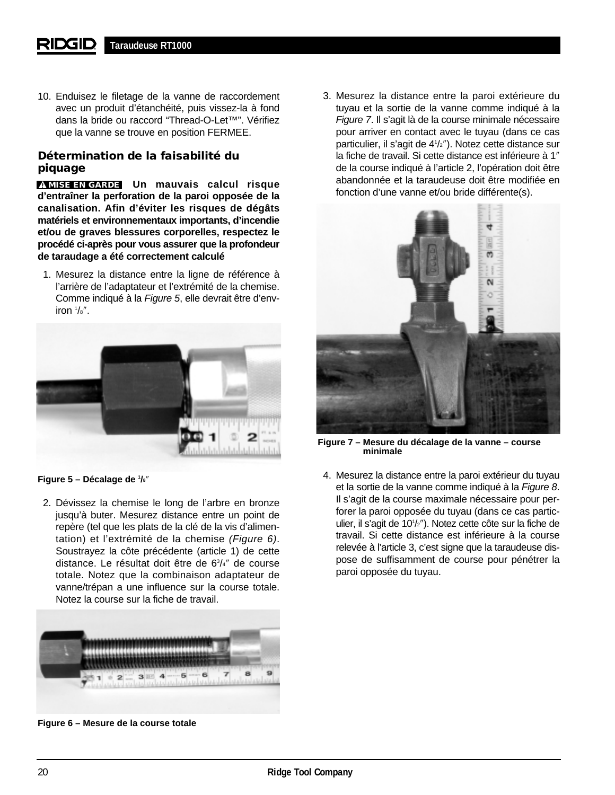10. Enduisez le filetage de la vanne de raccordement avec un produit d'étanchéité, puis vissez-la à fond dans la bride ou raccord "Thread-O-Let™". Vérifiez que la vanne se trouve en position FERMEE.

## **Détermination de la faisabilité du piquage**

**MISE EN GARDE** Un mauvais calcul risque **d'entraîner la perforation de la paroi opposée de la canalisation. Afin d'éviter les risques de dégâts matériels et environnementaux importants, d'incendie et/ou de graves blessures corporelles, respectez le procédé ci-après pour vous assurer que la profondeur de taraudage a été correctement calculé**

1. Mesurez la distance entre la ligne de référence à l'arrière de l'adaptateur et l'extrémité de la chemise. Comme indiqué à la Figure 5, elle devrait être d'environ 1 /8″.



**Figure 5 – Décalage de 1 /8**″

2. Dévissez la chemise le long de l'arbre en bronze jusqu'à buter. Mesurez distance entre un point de repère (tel que les plats de la clé de la vis d'alimentation) et l'extrémité de la chemise (Figure 6). Soustrayez la côte précédente (article 1) de cette distance. Le résultat doit être de 63 /4″ de course totale. Notez que la combinaison adaptateur de vanne/trépan a une influence sur la course totale. Notez la course sur la fiche de travail.



**Figure 6 – Mesure de la course totale**

3. Mesurez la distance entre la paroi extérieure du tuyau et la sortie de la vanne comme indiqué à la Figure 7. Il s'agit là de la course minimale nécessaire pour arriver en contact avec le tuyau (dans ce cas particulier, il s'agit de 41 /2″). Notez cette distance sur la fiche de travail. Si cette distance est inférieure à 1″ de la course indiqué à l'article 2, l'opération doit être abandonnée et la taraudeuse doit être modifiée en fonction d'une vanne et/ou bride différente(s).



**Figure 7 – Mesure du décalage de la vanne – course minimale** 

4. Mesurez la distance entre la paroi extérieur du tuyau et la sortie de la vanne comme indiqué à la Figure 8. Il s'agit de la course maximale nécessaire pour perforer la paroi opposée du tuyau (dans ce cas particulier, il s'agit de 101 /2″). Notez cette côte sur la fiche de travail. Si cette distance est inférieure à la course relevée à l'article 3, c'est signe que la taraudeuse dispose de suffisamment de course pour pénétrer la paroi opposée du tuyau.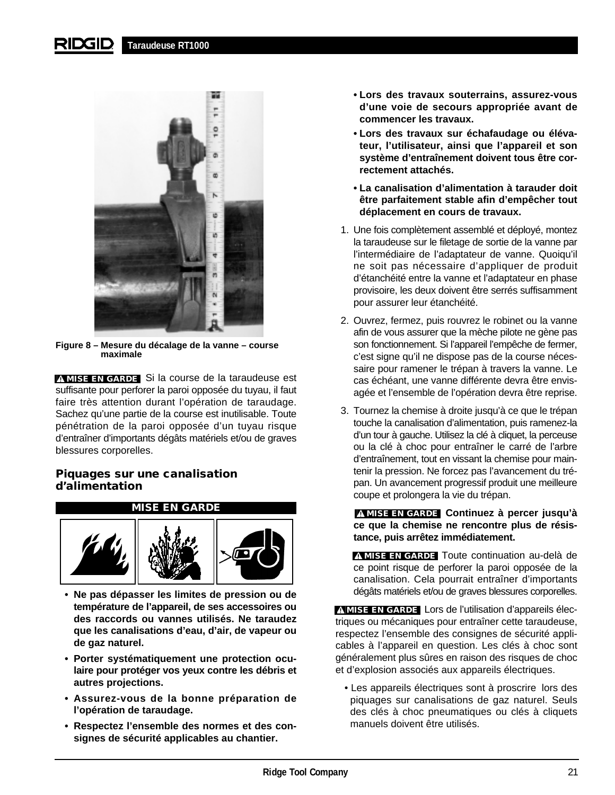#### RIDGID **Taraudeuse RT1000**



**Figure 8 – Mesure du décalage de la vanne – course maximale**

**MISE EN GARDE** Si la course de la taraudeuse est suffisante pour perforer la paroi opposée du tuyau, il faut faire très attention durant l'opération de taraudage. Sachez qu'une partie de la course est inutilisable. Toute pénétration de la paroi opposée d'un tuyau risque d'entraîner d'importants dégâts matériels et/ou de graves blessures corporelles.

## **Piquages sur une canalisation d'alimentation**



- **Ne pas dépasser les limites de pression ou de température de l'appareil, de ses accessoires ou des raccords ou vannes utilisés. Ne taraudez que les canalisations d'eau, d'air, de vapeur ou de gaz naturel.**
- **Porter systématiquement une protection oculaire pour protéger vos yeux contre les débris et autres projections.**
- **Assurez-vous de la bonne préparation de l'opération de taraudage.**
- **Respectez l'ensemble des normes et des consignes de sécurité applicables au chantier.**
- **Lors des travaux souterrains, assurez-vous d'une voie de secours appropriée avant de commencer les travaux.**
- **Lors des travaux sur échafaudage ou élévateur, l'utilisateur, ainsi que l'appareil et son système d'entraînement doivent tous être correctement attachés.**
- **La canalisation d'alimentation à tarauder doit être parfaitement stable afin d'empêcher tout déplacement en cours de travaux.**
- 1. Une fois complètement assemblé et déployé, montez la taraudeuse sur le filetage de sortie de la vanne par l'intermédiaire de l'adaptateur de vanne. Quoiqu'il ne soit pas nécessaire d'appliquer de produit d'étanchéité entre la vanne et l'adaptateur en phase provisoire, les deux doivent être serrés suffisamment pour assurer leur étanchéité.
- 2. Ouvrez, fermez, puis rouvrez le robinet ou la vanne afin de vous assurer que la mèche pilote ne gène pas son fonctionnement. Si l'appareil l'empêche de fermer, c'est signe qu'il ne dispose pas de la course nécessaire pour ramener le trépan à travers la vanne. Le cas échéant, une vanne différente devra être envisagée et l'ensemble de l'opération devra être reprise.
- 3. Tournez la chemise à droite jusqu'à ce que le trépan touche la canalisation d'alimentation, puis ramenez-la d'un tour à gauche. Utilisez la clé à cliquet, la perceuse ou la clé à choc pour entraîner le carré de l'arbre d'entraînement, tout en vissant la chemise pour maintenir la pression. Ne forcez pas l'avancement du trépan. Un avancement progressif produit une meilleure coupe et prolongera la vie du trépan.

**Continuez à percer jusqu'à MISE EN GARDE ce que la chemise ne rencontre plus de résistance, puis arrêtez immédiatement.**

**MISE EN GARDE** Toute continuation au-delà de ce point risque de perforer la paroi opposée de la canalisation. Cela pourrait entraîner d'importants dégâts matériels et/ou de graves blessures corporelles.

**MISE EN GARDE** Lors de l'utilisation d'appareils électriques ou mécaniques pour entraîner cette taraudeuse, respectez l'ensemble des consignes de sécurité applicables à l'appareil en question. Les clés à choc sont généralement plus sûres en raison des risques de choc et d'explosion associés aux appareils électriques.

• Les appareils électriques sont à proscrire lors des piquages sur canalisations de gaz naturel. Seuls des clés à choc pneumatiques ou clés à cliquets manuels doivent être utilisés.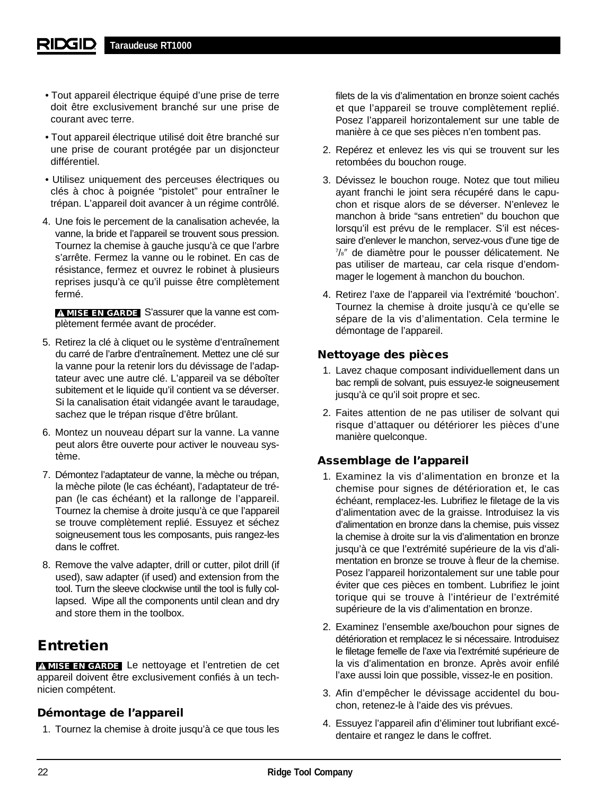- Tout appareil électrique équipé d'une prise de terre doit être exclusivement branché sur une prise de courant avec terre.
- Tout appareil électrique utilisé doit être branché sur une prise de courant protégée par un disjoncteur différentiel.
- Utilisez uniquement des perceuses électriques ou clés à choc à poignée "pistolet" pour entraîner le trépan. L'appareil doit avancer à un régime contrôlé.
- 4. Une fois le percement de la canalisation achevée, la vanne, la bride et l'appareil se trouvent sous pression. Tournez la chemise à gauche jusqu'à ce que l'arbre s'arrête. Fermez la vanne ou le robinet. En cas de résistance, fermez et ouvrez le robinet à plusieurs reprises jusqu'à ce qu'il puisse être complètement fermé.

**MISE EN GARDE** S'assurer que la vanne est complètement fermée avant de procéder.

- 5. Retirez la clé à cliquet ou le système d'entraînement du carré de l'arbre d'entraînement. Mettez une clé sur la vanne pour la retenir lors du dévissage de l'adaptateur avec une autre clé. L'appareil va se déboîter subitement et le liquide qu'il contient va se déverser. Si la canalisation était vidangée avant le taraudage, sachez que le trépan risque d'être brûlant.
- 6. Montez un nouveau départ sur la vanne. La vanne peut alors être ouverte pour activer le nouveau système.
- 7. Démontez l'adaptateur de vanne, la mèche ou trépan, la mèche pilote (le cas échéant), l'adaptateur de trépan (le cas échéant) et la rallonge de l'appareil. Tournez la chemise à droite jusqu'à ce que l'appareil se trouve complètement replié. Essuyez et séchez soigneusement tous les composants, puis rangez-les dans le coffret.
- 8. Remove the valve adapter, drill or cutter, pilot drill (if used), saw adapter (if used) and extension from the tool. Turn the sleeve clockwise until the tool is fully collapsed. Wipe all the components until clean and dry and store them in the toolbox.

# **Entretien**

**MISE EN GARDE** Le nettoyage et l'entretien de cet appareil doivent être exclusivement confiés à un technicien compétent.

## **Démontage de l'appareil**

1. Tournez la chemise à droite jusqu'à ce que tous les

filets de la vis d'alimentation en bronze soient cachés et que l'appareil se trouve complètement replié. Posez l'appareil horizontalement sur une table de manière à ce que ses pièces n'en tombent pas.

- 2. Repérez et enlevez les vis qui se trouvent sur les retombées du bouchon rouge.
- 3. Dévissez le bouchon rouge. Notez que tout milieu ayant franchi le joint sera récupéré dans le capuchon et risque alors de se déverser. N'enlevez le manchon à bride "sans entretien" du bouchon que lorsqu'il est prévu de le remplacer. S'il est nécessaire d'enlever le manchon, servez-vous d'une tige de 7 /8″ de diamètre pour le pousser délicatement. Ne pas utiliser de marteau, car cela risque d'endommager le logement à manchon du bouchon.
- 4. Retirez l'axe de l'appareil via l'extrémité 'bouchon'. Tournez la chemise à droite jusqu'à ce qu'elle se sépare de la vis d'alimentation. Cela termine le démontage de l'appareil.

## **Nettoyage des pièces**

- 1. Lavez chaque composant individuellement dans un bac rempli de solvant, puis essuyez-le soigneusement jusqu'à ce qu'il soit propre et sec.
- 2. Faites attention de ne pas utiliser de solvant qui risque d'attaquer ou détériorer les pièces d'une manière quelconque.

## **Assemblage de l'appareil**

- 1. Examinez la vis d'alimentation en bronze et la chemise pour signes de détérioration et, le cas échéant, remplacez-les. Lubrifiez le filetage de la vis d'alimentation avec de la graisse. Introduisez la vis d'alimentation en bronze dans la chemise, puis vissez la chemise à droite sur la vis d'alimentation en bronze jusqu'à ce que l'extrémité supérieure de la vis d'alimentation en bronze se trouve à fleur de la chemise. Posez l'appareil horizontalement sur une table pour éviter que ces pièces en tombent. Lubrifiez le joint torique qui se trouve à l'intérieur de l'extrémité supérieure de la vis d'alimentation en bronze.
- 2. Examinez l'ensemble axe/bouchon pour signes de détérioration et remplacez le si nécessaire. Introduisez le filetage femelle de l'axe via l'extrémité supérieure de la vis d'alimentation en bronze. Après avoir enfilé l'axe aussi loin que possible, vissez-le en position.
- 3. Afin d'empêcher le dévissage accidentel du bouchon, retenez-le à l'aide des vis prévues.
- 4. Essuyez l'appareil afin d'éliminer tout lubrifiant excédentaire et rangez le dans le coffret.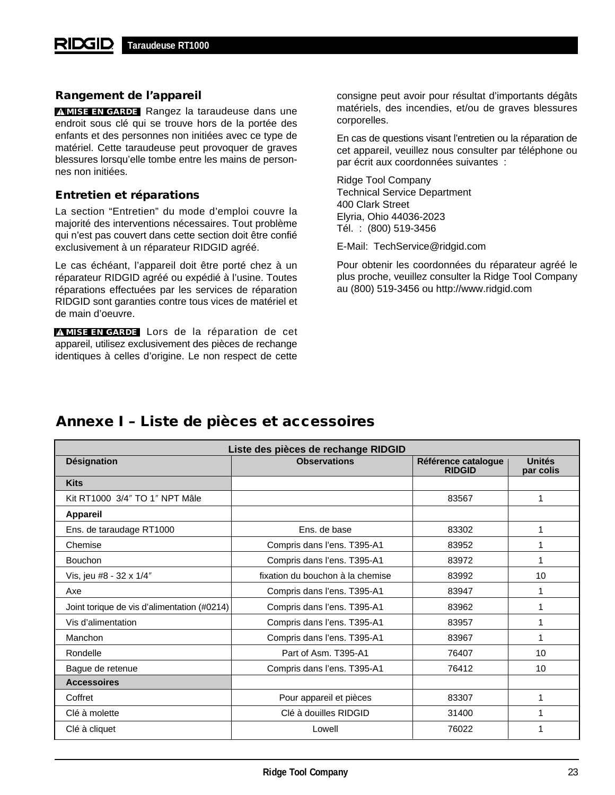## **Rangement de l'appareil**

**MISE EN GARDE** Rangez la taraudeuse dans une endroit sous clé qui se trouve hors de la portée des enfants et des personnes non initiées avec ce type de matériel. Cette taraudeuse peut provoquer de graves blessures lorsqu'elle tombe entre les mains de personnes non initiées.

## **Entretien et réparations**

La section "Entretien" du mode d'emploi couvre la majorité des interventions nécessaires. Tout problème qui n'est pas couvert dans cette section doit être confié exclusivement à un réparateur RIDGID agréé.

Le cas échéant, l'appareil doit être porté chez à un réparateur RIDGID agréé ou expédié à l'usine. Toutes réparations effectuées par les services de réparation RIDGID sont garanties contre tous vices de matériel et de main d'oeuvre.

**MISE EN GARDE** Lors de la réparation de cet appareil, utilisez exclusivement des pièces de rechange identiques à celles d'origine. Le non respect de cette consigne peut avoir pour résultat d'importants dégâts matériels, des incendies, et/ou de graves blessures corporelles.

En cas de questions visant l'entretien ou la réparation de cet appareil, veuillez nous consulter par téléphone ou par écrit aux coordonnées suivantes :

Ridge Tool Company Technical Service Department 400 Clark Street Elyria, Ohio 44036-2023 Tél. : (800) 519-3456

E-Mail: TechService@ridgid.com

Pour obtenir les coordonnées du réparateur agréé le plus proche, veuillez consulter la Ridge Tool Company au (800) 519-3456 ou http://www.ridgid.com

| Liste des pièces de rechange RIDGID         |                                  |                                      |                     |  |  |  |  |
|---------------------------------------------|----------------------------------|--------------------------------------|---------------------|--|--|--|--|
| <b>Désignation</b>                          | <b>Observations</b>              | Référence catalogue<br><b>RIDGID</b> | Unités<br>par colis |  |  |  |  |
| <b>Kits</b>                                 |                                  |                                      |                     |  |  |  |  |
| Kit RT1000 3/4" TO 1" NPT Mâle              |                                  | 83567                                | 1                   |  |  |  |  |
| <b>Appareil</b>                             |                                  |                                      |                     |  |  |  |  |
| Ens. de taraudage RT1000                    | Ens. de base                     | 83302                                | 1                   |  |  |  |  |
| Chemise                                     | Compris dans l'ens. T395-A1      | 83952                                | 1                   |  |  |  |  |
| <b>Bouchon</b>                              | Compris dans l'ens. T395-A1      | 83972                                | 1                   |  |  |  |  |
| Vis, jeu #8 - 32 x 1/4"                     | fixation du bouchon à la chemise | 83992                                | 10                  |  |  |  |  |
| Axe                                         | Compris dans l'ens. T395-A1      | 83947                                |                     |  |  |  |  |
| Joint torique de vis d'alimentation (#0214) | Compris dans l'ens. T395-A1      | 83962                                | 1                   |  |  |  |  |
| Vis d'alimentation                          | Compris dans l'ens. T395-A1      | 83957                                | 1                   |  |  |  |  |
| Manchon                                     | Compris dans l'ens. T395-A1      | 83967                                | 1                   |  |  |  |  |
| Rondelle                                    | Part of Asm. T395-A1             | 76407                                | 10                  |  |  |  |  |
| Bague de retenue                            | Compris dans l'ens. T395-A1      | 76412                                | 10                  |  |  |  |  |
| <b>Accessoires</b>                          |                                  |                                      |                     |  |  |  |  |
| Coffret                                     | Pour appareil et pièces          | 83307                                | 1                   |  |  |  |  |
| Clé à molette                               | Clé à douilles RIDGID            | 31400                                | 1                   |  |  |  |  |
| Clé à cliquet                               | Lowell                           | 76022                                |                     |  |  |  |  |

# **Annexe I – Liste de pièces et accessoires**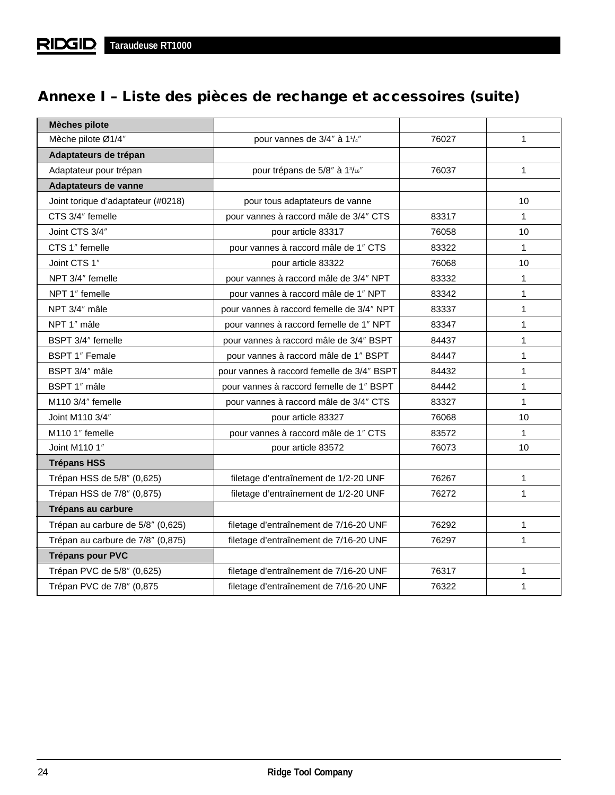# **Annexe I – Liste des pièces de rechange et accessoires (suite)**

| <b>Mèches pilote</b>               |                                            |       |              |
|------------------------------------|--------------------------------------------|-------|--------------|
| Mèche pilote Ø1/4"                 | pour vannes de 3/4" à 11/4"                | 76027 | $\mathbf{1}$ |
| Adaptateurs de trépan              |                                            |       |              |
| Adaptateur pour trépan             | pour trépans de 5/8" à 13/16"              | 76037 | $\mathbf{1}$ |
| Adaptateurs de vanne               |                                            |       |              |
| Joint torique d'adaptateur (#0218) | pour tous adaptateurs de vanne             |       | 10           |
| CTS 3/4" femelle                   | pour vannes à raccord mâle de 3/4" CTS     | 83317 | $\mathbf{1}$ |
| Joint CTS 3/4"                     | pour article 83317                         | 76058 | 10           |
| CTS 1" femelle                     | pour vannes à raccord mâle de 1" CTS       | 83322 | $\mathbf{1}$ |
| Joint CTS 1"                       | pour article 83322                         | 76068 | 10           |
| NPT 3/4" femelle                   | pour vannes à raccord mâle de 3/4" NPT     | 83332 | 1            |
| NPT 1" femelle                     | pour vannes à raccord mâle de 1" NPT       | 83342 | 1            |
| NPT 3/4" mâle                      | pour vannes à raccord femelle de 3/4" NPT  | 83337 | $\mathbf{1}$ |
| NPT 1" mâle                        | pour vannes à raccord femelle de 1" NPT    | 83347 | 1            |
| BSPT 3/4" femelle                  | pour vannes à raccord mâle de 3/4" BSPT    | 84437 | 1            |
| BSPT 1" Female                     | pour vannes à raccord mâle de 1" BSPT      | 84447 | 1            |
| BSPT 3/4" mâle                     | pour vannes à raccord femelle de 3/4" BSPT | 84432 | 1            |
| BSPT 1" mâle                       | pour vannes à raccord femelle de 1" BSPT   | 84442 | 1            |
| M110 3/4" femelle                  | pour vannes à raccord mâle de 3/4" CTS     | 83327 | $\mathbf{1}$ |
| Joint M110 3/4"                    | pour article 83327                         | 76068 | 10           |
| M110 1" femelle                    | pour vannes à raccord mâle de 1" CTS       | 83572 | $\mathbf 1$  |
| Joint M110 1"                      | pour article 83572                         | 76073 | 10           |
| <b>Trépans HSS</b>                 |                                            |       |              |
| Trépan HSS de 5/8" (0,625)         | filetage d'entraînement de 1/2-20 UNF      | 76267 | $\mathbf{1}$ |
| Trépan HSS de 7/8" (0,875)         | filetage d'entraînement de 1/2-20 UNF      | 76272 | 1            |
| Trépans au carbure                 |                                            |       |              |
| Trépan au carbure de 5/8" (0,625)  | filetage d'entraînement de 7/16-20 UNF     | 76292 | 1            |
| Trépan au carbure de 7/8" (0,875)  | filetage d'entraînement de 7/16-20 UNF     | 76297 | 1            |
| <b>Trépans pour PVC</b>            |                                            |       |              |
| Trépan PVC de 5/8" (0,625)         | filetage d'entraînement de 7/16-20 UNF     | 76317 | 1            |
| Trépan PVC de 7/8" (0,875          | filetage d'entraînement de 7/16-20 UNF     | 76322 | $\mathbf{1}$ |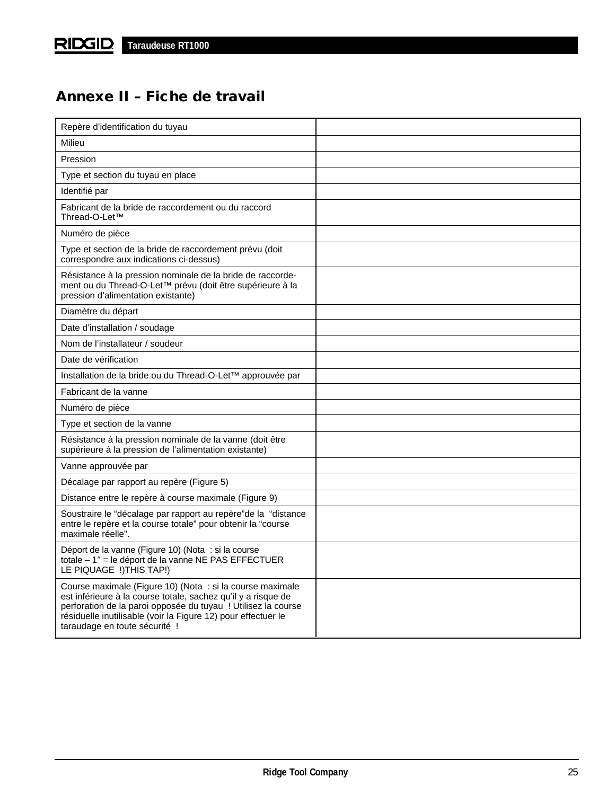# **Annexe II – Fiche de travail**

| Repère d'identification du tuyau                                                                                                                                                                                                                                                              |  |
|-----------------------------------------------------------------------------------------------------------------------------------------------------------------------------------------------------------------------------------------------------------------------------------------------|--|
| Milieu                                                                                                                                                                                                                                                                                        |  |
| Pression                                                                                                                                                                                                                                                                                      |  |
| Type et section du tuyau en place                                                                                                                                                                                                                                                             |  |
| Identifié par                                                                                                                                                                                                                                                                                 |  |
| Fabricant de la bride de raccordement ou du raccord<br>Thread-O-Let™                                                                                                                                                                                                                          |  |
| Numéro de pièce                                                                                                                                                                                                                                                                               |  |
| Type et section de la bride de raccordement prévu (doit<br>correspondre aux indications ci-dessus)                                                                                                                                                                                            |  |
| Résistance à la pression nominale de la bride de raccorde-<br>ment ou du Thread-O-Let™ prévu (doit être supérieure à la<br>pression d'alimentation existante)                                                                                                                                 |  |
| Diamètre du départ                                                                                                                                                                                                                                                                            |  |
| Date d'installation / soudage                                                                                                                                                                                                                                                                 |  |
| Nom de l'installateur / soudeur                                                                                                                                                                                                                                                               |  |
| Date de vérification                                                                                                                                                                                                                                                                          |  |
| Installation de la bride ou du Thread-O-Let™ approuvée par                                                                                                                                                                                                                                    |  |
| Fabricant de la vanne                                                                                                                                                                                                                                                                         |  |
| Numéro de pièce                                                                                                                                                                                                                                                                               |  |
| Type et section de la vanne                                                                                                                                                                                                                                                                   |  |
| Résistance à la pression nominale de la vanne (doit être<br>supérieure à la pression de l'alimentation existante)                                                                                                                                                                             |  |
| Vanne approuvée par                                                                                                                                                                                                                                                                           |  |
| Décalage par rapport au repère (Figure 5)                                                                                                                                                                                                                                                     |  |
| Distance entre le repère à course maximale (Figure 9)                                                                                                                                                                                                                                         |  |
| Soustraire le "décalage par rapport au repère" de la "distance<br>entre le repère et la course totale" pour obtenir la "course<br>maximale réelle".                                                                                                                                           |  |
| Déport de la vanne (Figure 10) (Nota : si la course<br>totale - 1" = le déport de la vanne NE PAS EFFECTUER<br>LE PIQUAGE !) THIS TAP!)                                                                                                                                                       |  |
| Course maximale (Figure 10) (Nota : si la course maximale<br>est inférieure à la course totale, sachez qu'il y a risque de<br>perforation de la paroi opposée du tuyau ! Utilisez la course<br>résiduelle inutilisable (voir la Figure 12) pour effectuer le<br>taraudage en toute sécurité ! |  |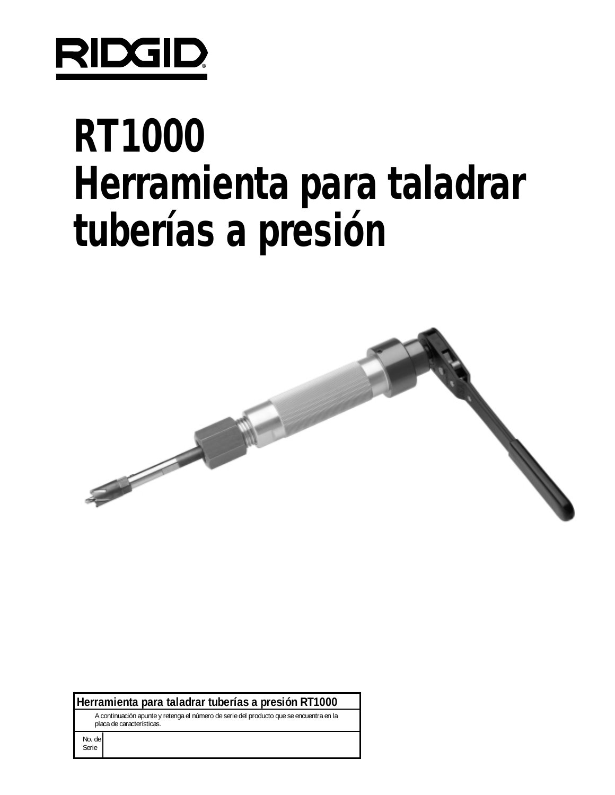

# **RT1000 Herramienta para taladrar tuberías a presión**



**Herramienta para taladrar tuberías a presión RT1000** 

A continuación apunte y retenga el número de serie del producto que se encuentra en la placa de características.

No. de Serie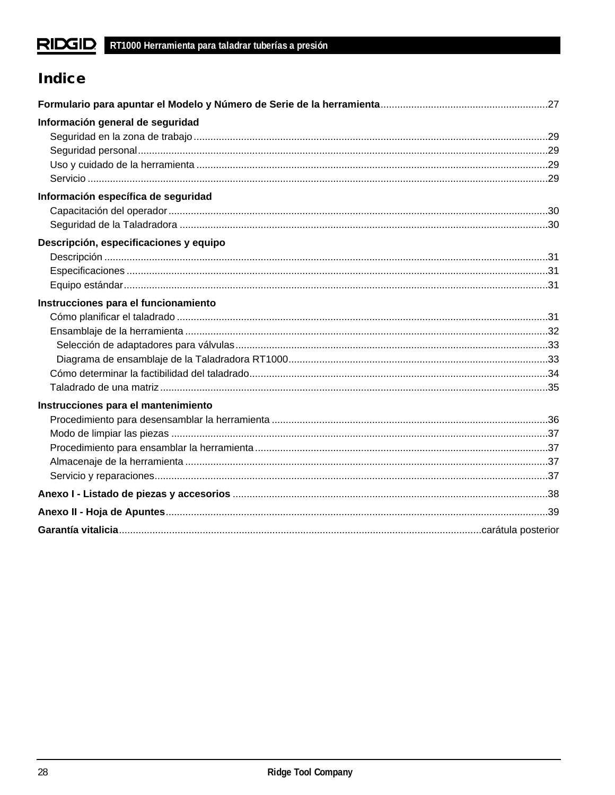# **Indice**

| Información general de seguridad       |  |
|----------------------------------------|--|
|                                        |  |
|                                        |  |
|                                        |  |
|                                        |  |
| Información específica de seguridad    |  |
|                                        |  |
|                                        |  |
| Descripción, especificaciones y equipo |  |
|                                        |  |
|                                        |  |
|                                        |  |
| Instrucciones para el funcionamiento   |  |
|                                        |  |
|                                        |  |
|                                        |  |
|                                        |  |
|                                        |  |
|                                        |  |
| Instrucciones para el mantenimiento    |  |
|                                        |  |
|                                        |  |
|                                        |  |
|                                        |  |
|                                        |  |
|                                        |  |
|                                        |  |
|                                        |  |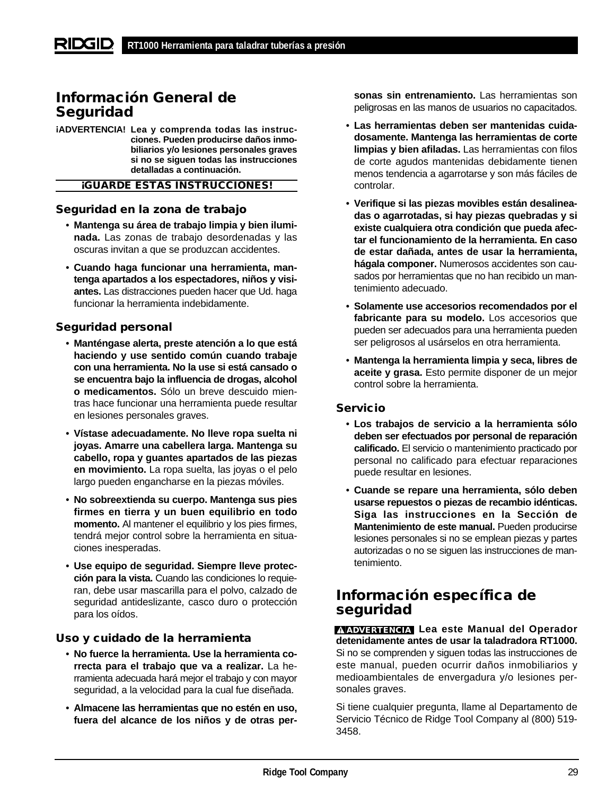# **Información General de Seguridad**

**¡ADVERTENCIA! Lea y comprenda todas las instrucciones. Pueden producirse daños inmobiliarios y/o lesiones personales graves si no se siguen todas las instrucciones detalladas a continuación.**

## **¡GUARDE ESTAS INSTRUCCIONES!**

## **Seguridad en la zona de trabajo**

- **Mantenga su área de trabajo limpia y bien iluminada.** Las zonas de trabajo desordenadas y las oscuras invitan a que se produzcan accidentes.
- **Cuando haga funcionar una herramienta, mantenga apartados a los espectadores, niños y visiantes.** Las distracciones pueden hacer que Ud. haga funcionar la herramienta indebidamente.

## **Seguridad personal**

- **Manténgase alerta, preste atención a lo que está haciendo y use sentido común cuando trabaje con una herramienta. No la use si está cansado o se encuentra bajo la influencia de drogas, alcohol o medicamentos.** Sólo un breve descuido mientras hace funcionar una herramienta puede resultar en lesiones personales graves.
- **Vístase adecuadamente. No lleve ropa suelta ni joyas. Amarre una cabellera larga. Mantenga su cabello, ropa y guantes apartados de las piezas en movimiento.** La ropa suelta, las joyas o el pelo largo pueden engancharse en la piezas móviles.
- **No sobreextienda su cuerpo. Mantenga sus pies firmes en tierra y un buen equilibrio en todo momento.** Al mantener el equilibrio y los pies firmes, tendrá mejor control sobre la herramienta en situaciones inesperadas.
- **Use equipo de seguridad. Siempre lleve protección para la vista.** Cuando las condiciones lo requieran, debe usar mascarilla para el polvo, calzado de seguridad antideslizante, casco duro o protección para los oídos.

## **Uso y cuidado de la herramienta**

- **No fuerce la herramienta. Use la herramienta correcta para el trabajo que va a realizar.** La herramienta adecuada hará mejor el trabajo y con mayor seguridad, a la velocidad para la cual fue diseñada.
- **Almacene las herramientas que no estén en uso, fuera del alcance de los niños y de otras per-**

**sonas sin entrenamiento.** Las herramientas son peligrosas en las manos de usuarios no capacitados.

- **Las herramientas deben ser mantenidas cuidadosamente. Mantenga las herramientas de corte limpias y bien afiladas.** Las herramientas con filos de corte agudos mantenidas debidamente tienen menos tendencia a agarrotarse y son más fáciles de controlar.
- **Verifique si las piezas movibles están desalineadas o agarrotadas, si hay piezas quebradas y si existe cualquiera otra condición que pueda afectar el funcionamiento de la herramienta. En caso de estar dañada, antes de usar la herramienta, hágala componer.** Numerosos accidentes son causados por herramientas que no han recibido un mantenimiento adecuado.
- **Solamente use accesorios recomendados por el fabricante para su modelo.** Los accesorios que pueden ser adecuados para una herramienta pueden ser peligrosos al usárselos en otra herramienta.
- **Mantenga la herramienta limpia y seca, libres de aceite y grasa.** Esto permite disponer de un mejor control sobre la herramienta.

## **Servicio**

- **Los trabajos de servicio a la herramienta sólo deben ser efectuados por personal de reparación calificado.** El servicio o mantenimiento practicado por personal no calificado para efectuar reparaciones puede resultar en lesiones.
- **Cuande se repare una herramienta, sólo deben usarse repuestos o piezas de recambio idénticas. Siga las instrucciones en la Sección de Mantenimiento de este manual.** Pueden producirse lesiones personales si no se emplean piezas y partes autorizadas o no se siguen las instrucciones de mantenimiento.

## **Información específica de seguridad**

**ADVERTENCIA Lea este Manual del Operador detenidamente antes de usar la taladradora RT1000.** Si no se comprenden y siguen todas las instrucciones de este manual, pueden ocurrir daños inmobiliarios y medioambientales de envergadura y/o lesiones personales graves.

Si tiene cualquier pregunta, llame al Departamento de Servicio Técnico de Ridge Tool Company al (800) 519- 3458.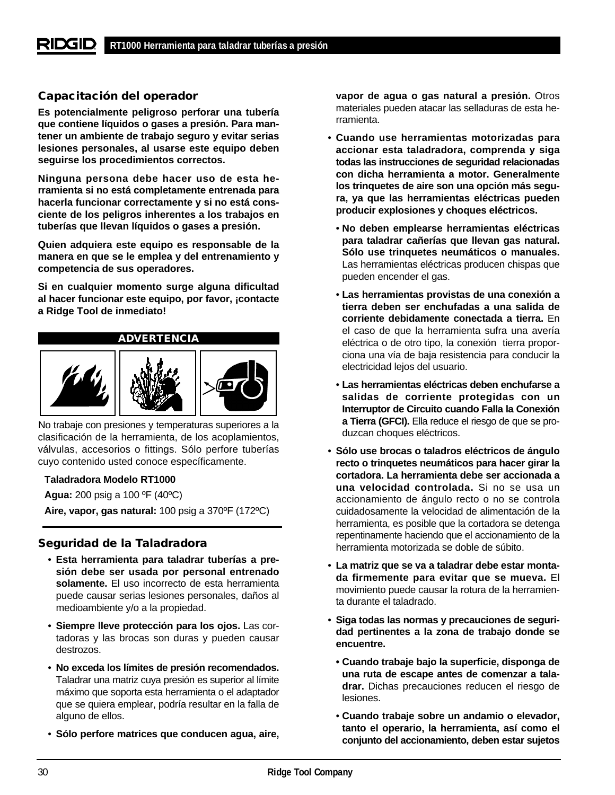## **Capacitación del operador**

**Es potencialmente peligroso perforar una tubería que contiene líquidos o gases a presión. Para mantener un ambiente de trabajo seguro y evitar serias lesiones personales, al usarse este equipo deben seguirse los procedimientos correctos.** 

**Ninguna persona debe hacer uso de esta herramienta si no está completamente entrenada para hacerla funcionar correctamente y si no está consciente de los peligros inherentes a los trabajos en tuberías que llevan líquidos o gases a presión.**

**Quien adquiera este equipo es responsable de la manera en que se le emplea y del entrenamiento y competencia de sus operadores.**

**Si en cualquier momento surge alguna dificultad al hacer funcionar este equipo, por favor, ¡contacte a Ridge Tool de inmediato!**

## **ADVERTENCIA**



No trabaje con presiones y temperaturas superiores a la clasificación de la herramienta, de los acoplamientos, válvulas, accesorios o fittings. Sólo perfore tuberías cuyo contenido usted conoce específicamente.

## **Taladradora Modelo RT1000**

**Agua:** 200 psig a 100 ºF (40ºC)

**Aire, vapor, gas natural:** 100 psig a 370ºF (172ºC)

## **Seguridad de la Taladradora**

- **Esta herramienta para taladrar tuberías a presión debe ser usada por personal entrenado solamente.** El uso incorrecto de esta herramienta puede causar serias lesiones personales, daños al medioambiente y/o a la propiedad.
- **Siempre lleve protección para los ojos.** Las cortadoras y las brocas son duras y pueden causar destrozos.
- **No exceda los límites de presión recomendados.** Taladrar una matriz cuya presión es superior al límite máximo que soporta esta herramienta o el adaptador que se quiera emplear, podría resultar en la falla de alguno de ellos.
- **Sólo perfore matrices que conducen agua, aire,**

**vapor de agua o gas natural a presión.** Otros materiales pueden atacar las selladuras de esta herramienta.

- **Cuando use herramientas motorizadas para accionar esta taladradora, comprenda y siga todas las instrucciones de seguridad relacionadas con dicha herramienta a motor. Generalmente los trinquetes de aire son una opción más segura, ya que las herramientas eléctricas pueden producir explosiones y choques eléctricos.**
	- **No deben emplearse herramientas eléctricas para taladrar cañerías que llevan gas natural. Sólo use trinquetes neumáticos o manuales.** Las herramientas eléctricas producen chispas que pueden encender el gas.
	- **Las herramientas provistas de una conexión a tierra deben ser enchufadas a una salida de corriente debidamente conectada a tierra.** En el caso de que la herramienta sufra una avería eléctrica o de otro tipo, la conexión tierra proporciona una vía de baja resistencia para conducir la electricidad lejos del usuario.
	- **Las herramientas eléctricas deben enchufarse a salidas de corriente protegidas con un Interruptor de Circuito cuando Falla la Conexión a Tierra (GFCI).** Ella reduce el riesgo de que se produzcan choques eléctricos.
- **Sólo use brocas o taladros eléctricos de ángulo recto o trinquetes neumáticos para hacer girar la cortadora. La herramienta debe ser accionada a una velocidad controlada.** Si no se usa un accionamiento de ángulo recto o no se controla cuidadosamente la velocidad de alimentación de la herramienta, es posible que la cortadora se detenga repentinamente haciendo que el accionamiento de la herramienta motorizada se doble de súbito.
- **La matriz que se va a taladrar debe estar montada firmemente para evitar que se mueva.** El movimiento puede causar la rotura de la herramienta durante el taladrado.
- **Siga todas las normas y precauciones de seguridad pertinentes a la zona de trabajo donde se encuentre.**
	- **Cuando trabaje bajo la superficie, disponga de una ruta de escape antes de comenzar a taladrar.** Dichas precauciones reducen el riesgo de lesiones.
	- **Cuando trabaje sobre un andamio o elevador, tanto el operario, la herramienta, así como el conjunto del accionamiento, deben estar sujetos**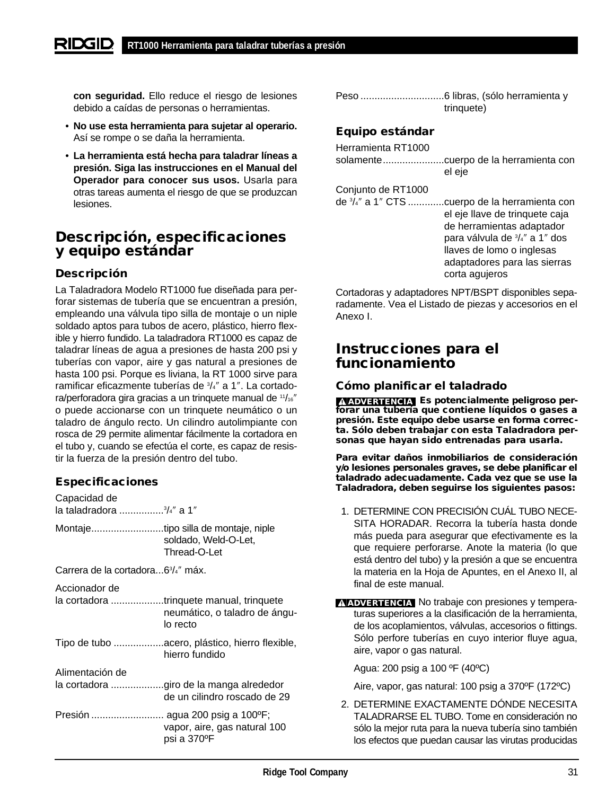**con seguridad.** Ello reduce el riesgo de lesiones debido a caídas de personas o herramientas.

- **No use esta herramienta para sujetar al operario.** Así se rompe o se daña la herramienta.
- **La herramienta está hecha para taladrar líneas a presión. Siga las instrucciones en el Manual del Operador para conocer sus usos.** Usarla para otras tareas aumenta el riesgo de que se produzcan lesiones.

# **Descripción, especificaciones y equipo estándar**

## **Descripción**

La Taladradora Modelo RT1000 fue diseñada para perforar sistemas de tubería que se encuentran a presión, empleando una válvula tipo silla de montaje o un niple soldado aptos para tubos de acero, plástico, hierro flexible y hierro fundido. La taladradora RT1000 es capaz de taladrar líneas de agua a presiones de hasta 200 psi y tuberías con vapor, aire y gas natural a presiones de hasta 100 psi. Porque es liviana, la RT 1000 sirve para ramificar eficazmente tuberías de <sup>3</sup>/<sub>4</sub>" a 1". La cortadora/perforadora gira gracias a un trinquete manual de 11/16" o puede accionarse con un trinquete neumático o un taladro de ángulo recto. Un cilindro autolimpiante con rosca de 29 permite alimentar fácilmente la cortadora en el tubo y, cuando se efectúa el corte, es capaz de resistir la fuerza de la presión dentro del tubo.

## **Especificaciones**

Capacidad de

| la taladradora <sup>3</sup> /4" a 1" |  |
|--------------------------------------|--|
|--------------------------------------|--|

Montaje..........................tipo silla de montaje, niple soldado, Weld-O-Let, Thread-O-Let

Carrera de la cortadora...63 /4″ máx.

Accionador de

- la cortadora ...................trinquete manual, trinquete neumático, o taladro de ángulo recto Tipo de tubo ..................acero, plástico, hierro flexible, hierro fundido Alimentación de la cortadora ...................giro de la manga alrededor de un cilindro roscado de 29
- Presión .......................... agua 200 psig a 100ºF; vapor, aire, gas natural 100 psi a 370ºF

| trinquete) |
|------------|

## **Equipo estándar**

| Herramienta RT1000                     | cuerpo de la herramienta con                                                                                                                                                                                 |
|----------------------------------------|--------------------------------------------------------------------------------------------------------------------------------------------------------------------------------------------------------------|
| solamente                              | el eje                                                                                                                                                                                                       |
| Conjunto de RT1000<br>de 3/4" a 1" CTS | cuerpo de la herramienta con.<br>el eje llave de trinquete caja<br>de herramientas adaptador<br>para válvula de 3/4" a 1" dos<br>llaves de lomo o inglesas<br>adaptadores para las sierras<br>corta agujeros |

Cortadoras y adaptadores NPT/BSPT disponibles separadamente. Vea el Listado de piezas y accesorios en el Anexo I.

# **Instrucciones para el funcionamiento**

## **Cómo planificar el taladrado**

**Es potencialmente peligroso per-ADVERTENCIA forar una tubería que contiene líquidos o gases a presión. Este equipo debe usarse en forma correcta. Sólo deben trabajar con esta Taladradora personas que hayan sido entrenadas para usarla.**

**Para evitar daños inmobiliarios de consideración y/o lesiones personales graves, se debe planificar el taladrado adecuadamente. Cada vez que se use la Taladradora, deben seguirse los siguientes pasos:** 

- 1. DETERMINE CON PRECISIÓN CUÁL TUBO NECE-SITA HORADAR. Recorra la tubería hasta donde más pueda para asegurar que efectivamente es la que requiere perforarse. Anote la materia (lo que está dentro del tubo) y la presión a que se encuentra la materia en la Hoja de Apuntes, en el Anexo II, al final de este manual.
- **ADVERTENCIA** No trabaje con presiones y temperaturas superiores a la clasificación de la herramienta, de los acoplamientos, válvulas, accesorios o fittings. Sólo perfore tuberías en cuyo interior fluye agua, aire, vapor o gas natural.

Agua: 200 psig a 100 ºF (40ºC)

Aire, vapor, gas natural: 100 psig a 370ºF (172ºC)

2. DETERMINE EXACTAMENTE DÓNDE NECESITA TALADRARSE EL TUBO. Tome en consideración no sólo la mejor ruta para la nueva tubería sino también los efectos que puedan causar las virutas producidas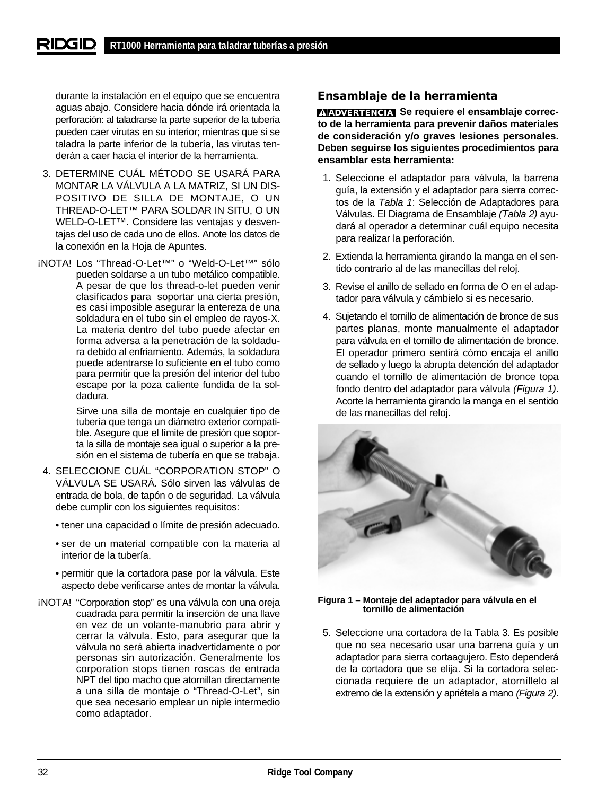durante la instalación en el equipo que se encuentra aguas abajo. Considere hacia dónde irá orientada la perforación: al taladrarse la parte superior de la tubería pueden caer virutas en su interior; mientras que si se taladra la parte inferior de la tubería, las virutas tenderán a caer hacia el interior de la herramienta.

- 3. DETERMINE CUÁL MÉTODO SE USARÁ PARA MONTAR LA VÁLVULA A LA MATRIZ, SI UN DIS-POSITIVO DE SILLA DE MONTAJE, O UN THREAD-O-LET™ PARA SOLDAR IN SITU, O UN WELD-O-LET™. Considere las ventajas y desventajas del uso de cada uno de ellos. Anote los datos de la conexión en la Hoja de Apuntes.
- ¡NOTA! Los "Thread-O-Let™" o "Weld-O-Let™" sólo pueden soldarse a un tubo metálico compatible. A pesar de que los thread-o-let pueden venir clasificados para soportar una cierta presión, es casi imposible asegurar la entereza de una soldadura en el tubo sin el empleo de rayos-X. La materia dentro del tubo puede afectar en forma adversa a la penetración de la soldadura debido al enfriamiento. Además, la soldadura puede adentrarse lo suficiente en el tubo como para permitir que la presión del interior del tubo escape por la poza caliente fundida de la soldadura.

Sirve una silla de montaje en cualquier tipo de tubería que tenga un diámetro exterior compatible. Asegure que el límite de presión que soporta la silla de montaje sea igual o superior a la presión en el sistema de tubería en que se trabaja.

- 4. SELECCIONE CUÁL "CORPORATION STOP" O VÁLVULA SE USARÁ. Sólo sirven las válvulas de entrada de bola, de tapón o de seguridad. La válvula debe cumplir con los siguientes requisitos:
	- tener una capacidad o límite de presión adecuado.
	- ser de un material compatible con la materia al interior de la tubería.
	- permitir que la cortadora pase por la válvula. Este aspecto debe verificarse antes de montar la válvula.
- ¡NOTA! "Corporation stop" es una válvula con una oreja cuadrada para permitir la inserción de una llave en vez de un volante-manubrio para abrir y cerrar la válvula. Esto, para asegurar que la válvula no será abierta inadvertidamente o por personas sin autorización. Generalmente los corporation stops tienen roscas de entrada NPT del tipo macho que atornillan directamente a una silla de montaje o "Thread-O-Let", sin que sea necesario emplear un niple intermedio como adaptador.

## **Ensamblaje de la herramienta**

**Se requiere el ensamblaje correc-ADVERTENCIAto de la herramienta para prevenir daños materiales de consideración y/o graves lesiones personales. Deben seguirse los siguientes procedimientos para ensamblar esta herramienta:**

- 1. Seleccione el adaptador para válvula, la barrena guía, la extensión y el adaptador para sierra correctos de la Tabla 1: Selección de Adaptadores para Válvulas. El Diagrama de Ensamblaje (Tabla 2) ayudará al operador a determinar cuál equipo necesita para realizar la perforación.
- 2. Extienda la herramienta girando la manga en el sentido contrario al de las manecillas del reloj.
- 3. Revise el anillo de sellado en forma de O en el adaptador para válvula y cámbielo si es necesario.
- 4. Sujetando el tornillo de alimentación de bronce de sus partes planas, monte manualmente el adaptador para válvula en el tornillo de alimentación de bronce. El operador primero sentirá cómo encaja el anillo de sellado y luego la abrupta detención del adaptador cuando el tornillo de alimentación de bronce topa fondo dentro del adaptador para válvula (Figura 1). Acorte la herramienta girando la manga en el sentido de las manecillas del reloj.



**Figura 1 – Montaje del adaptador para válvula en el tornillo de alimentación**

5. Seleccione una cortadora de la Tabla 3. Es posible que no sea necesario usar una barrena guía y un adaptador para sierra cortaagujero. Esto dependerá de la cortadora que se elija. Si la cortadora seleccionada requiere de un adaptador, atorníllelo al extremo de la extensión y apriétela a mano (Figura 2).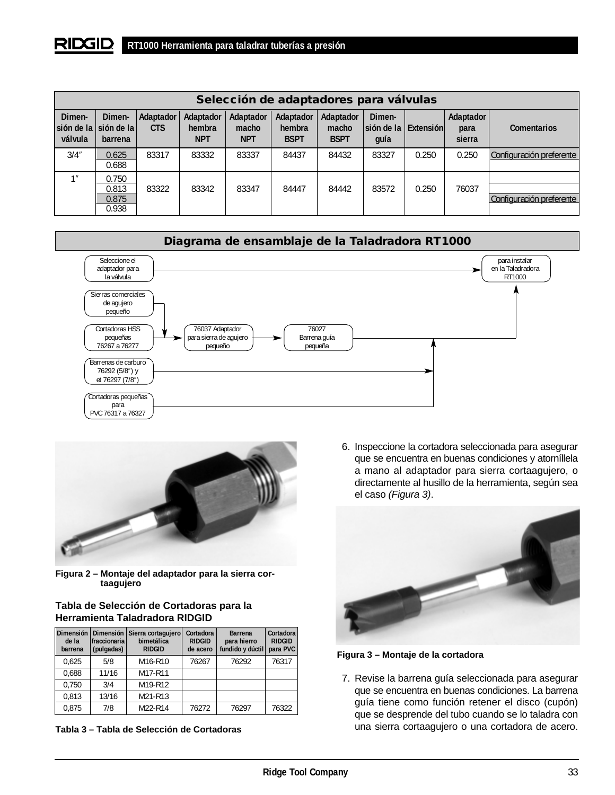#### RIDGID **RT1000 Herramienta para taladrar tuberías a presión**

| Selección de adaptadores para válvulas |                                              |                           |                                   |                                  |                                    |                                   |                                        |       |                             |                          |
|----------------------------------------|----------------------------------------------|---------------------------|-----------------------------------|----------------------------------|------------------------------------|-----------------------------------|----------------------------------------|-------|-----------------------------|--------------------------|
| Dimen-<br>válvula                      | Dimen-<br>sión de la sión de la l<br>barrena | Adaptador I<br><b>CTS</b> | Adaptador<br>hembra<br><b>NPT</b> | Adaptador<br>macho<br><b>NPT</b> | Adaptador<br>hembra<br><b>BSPT</b> | Adaptador<br>macho<br><b>BSPT</b> | Dimen-<br>sión de la Extensión<br>quía |       | Adaptador<br>para<br>sierra | <b>Comentarios</b>       |
| 3/4''                                  | 0.625<br>0.688                               | 83317                     | 83332                             | 83337                            | 84437                              | 84432                             | 83327                                  | 0.250 | 0.250                       | Configuración preferente |
| 1                                      | 0.750<br>0.813<br>0.875<br>0.938             | 83322                     | 83342                             | 83347                            | 84447                              | 84442                             | 83572                                  | 0.250 | 76037                       | Configuración preferente |





**Figura 2 – Montaje del adaptador para la sierra cortaagujero** 

## **Tabla de Selección de Cortadoras para la Herramienta Taladradora RIDGID**

| Dimensión<br>de la<br>barrena | Dimensión<br>fraccionaria<br>(pulgadas) | Sierra cortagujero<br>bimetálica<br><b>RIDGID</b> | Cortadora<br><b>RIDGID</b><br>de acero | <b>Barrena</b><br>para hierro<br>fundido y dúctil | Cortadora<br><b>RIDGID</b><br>para PVC |
|-------------------------------|-----------------------------------------|---------------------------------------------------|----------------------------------------|---------------------------------------------------|----------------------------------------|
| 0,625                         | 5/8                                     | M <sub>16</sub> -R <sub>10</sub>                  | 76267                                  | 76292                                             | 76317                                  |
| 0,688                         | 11/16                                   | M17-R11                                           |                                        |                                                   |                                        |
| 0.750                         | 3/4                                     | M19-R12                                           |                                        |                                                   |                                        |
| 0.813                         | 13/16                                   | M21-R13                                           |                                        |                                                   |                                        |
| 0.875                         | 7/8                                     | M22-R14                                           | 76272                                  | 76297                                             | 76322                                  |

**Tabla 3 – Tabla de Selección de Cortadoras**

6. Inspeccione la cortadora seleccionada para asegurar que se encuentra en buenas condiciones y atorníllela a mano al adaptador para sierra cortaagujero, o directamente al husillo de la herramienta, según sea el caso (Figura 3).





7. Revise la barrena guía seleccionada para asegurar que se encuentra en buenas condiciones. La barrena guía tiene como función retener el disco (cupón) que se desprende del tubo cuando se lo taladra con una sierra cortaagujero o una cortadora de acero.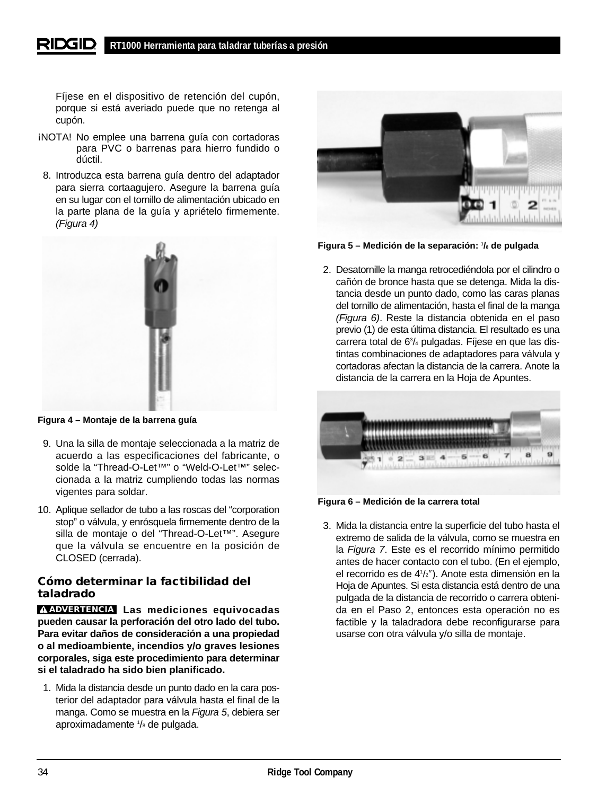Fíjese en el dispositivo de retención del cupón, porque si está averiado puede que no retenga al cupón.

- ¡NOTA! No emplee una barrena guía con cortadoras para PVC o barrenas para hierro fundido o dúctil.
- 8. Introduzca esta barrena guía dentro del adaptador para sierra cortaagujero. Asegure la barrena guía en su lugar con el tornillo de alimentación ubicado en la parte plana de la guía y apriételo firmemente. (Figura 4)



**Figura 4 – Montaje de la barrena guía**

- 9. Una la silla de montaje seleccionada a la matriz de acuerdo a las especificaciones del fabricante, o solde la "Thread-O-Let™" o "Weld-O-Let™" seleccionada a la matriz cumpliendo todas las normas vigentes para soldar.
- 10. Aplique sellador de tubo a las roscas del "corporation stop" o válvula, y enrósquela firmemente dentro de la silla de montaje o del "Thread-O-Let™". Asegure que la válvula se encuentre en la posición de CLOSED (cerrada).

## **Cómo determinar la factibilidad del taladrado**

**ADVERTENCIA** Las mediciones equivocadas **pueden causar la perforación del otro lado del tubo. Para evitar daños de consideración a una propiedad o al medioambiente, incendios y/o graves lesiones corporales, siga este procedimiento para determinar si el taladrado ha sido bien planificado.**

1. Mida la distancia desde un punto dado en la cara posterior del adaptador para válvula hasta el final de la manga. Como se muestra en la Figura 5, debiera ser aproximadamente 1 /8 de pulgada.



**Figura 5 – Medición de la separación: 1 /8 de pulgada**

2. Desatornille la manga retrocediéndola por el cilindro o cañón de bronce hasta que se detenga. Mida la distancia desde un punto dado, como las caras planas del tornillo de alimentación, hasta el final de la manga (Figura 6). Reste la distancia obtenida en el paso previo (1) de esta última distancia. El resultado es una carrera total de 63 /4 pulgadas. Fíjese en que las distintas combinaciones de adaptadores para válvula y cortadoras afectan la distancia de la carrera. Anote la distancia de la carrera en la Hoja de Apuntes.



**Figura 6 – Medición de la carrera total**

3. Mida la distancia entre la superficie del tubo hasta el extremo de salida de la válvula, como se muestra en la Figura 7. Este es el recorrido mínimo permitido antes de hacer contacto con el tubo. (En el ejemplo, el recorrido es de 41 /2″). Anote esta dimensión en la Hoja de Apuntes. Si esta distancia está dentro de una pulgada de la distancia de recorrido o carrera obtenida en el Paso 2, entonces esta operación no es factible y la taladradora debe reconfigurarse para usarse con otra válvula y/o silla de montaje.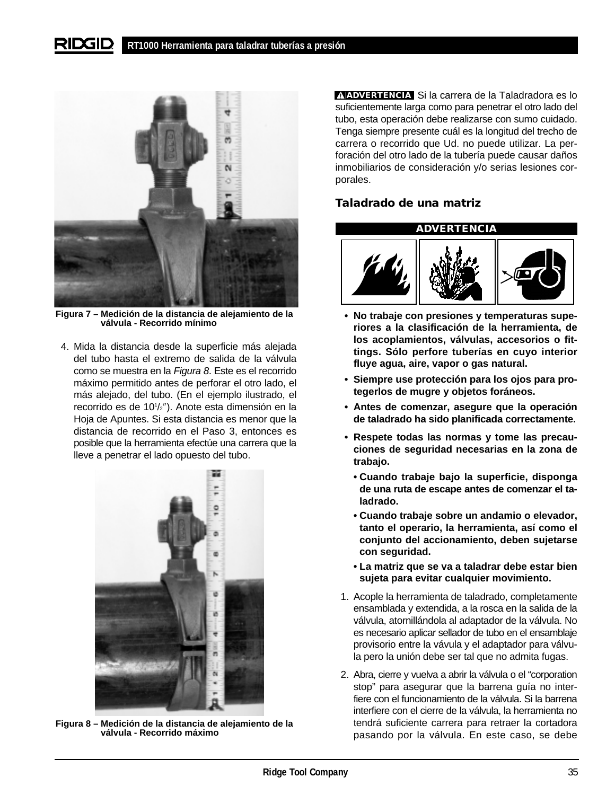#### RIDGID **RT1000 Herramienta para taladrar tuberías a presión**



**Figura 7 – Medición de la distancia de alejamiento de la válvula - Recorrido mínimo**

4. Mida la distancia desde la superficie más alejada del tubo hasta el extremo de salida de la válvula como se muestra en la Figura 8. Este es el recorrido máximo permitido antes de perforar el otro lado, el más alejado, del tubo. (En el ejemplo ilustrado, el recorrido es de 101 /2″). Anote esta dimensión en la Hoja de Apuntes. Si esta distancia es menor que la distancia de recorrido en el Paso 3, entonces es posible que la herramienta efectúe una carrera que la lleve a penetrar el lado opuesto del tubo.



**Figura 8 – Medición de la distancia de alejamiento de la válvula - Recorrido máximo**

**ADVERTENCIA** Si la carrera de la Taladradora es lo suficientemente larga como para penetrar el otro lado del tubo, esta operación debe realizarse con sumo cuidado. Tenga siempre presente cuál es la longitud del trecho de carrera o recorrido que Ud. no puede utilizar. La perforación del otro lado de la tubería puede causar daños inmobiliarios de consideración y/o serias lesiones corporales.

## **Taladrado de una matriz**

## **ADVERTENCIA**



- **No trabaje con presiones y temperaturas superiores a la clasificación de la herramienta, de los acoplamientos, válvulas, accesorios o fittings. Sólo perfore tuberías en cuyo interior fluye agua, aire, vapor o gas natural.**
- **Siempre use protección para los ojos para protegerlos de mugre y objetos foráneos.**
- **Antes de comenzar, asegure que la operación de taladrado ha sido planificada correctamente.**
- **Respete todas las normas y tome las precauciones de seguridad necesarias en la zona de trabajo.**
	- **Cuando trabaje bajo la superficie, disponga de una ruta de escape antes de comenzar el taladrado.**
	- **Cuando trabaje sobre un andamio o elevador, tanto el operario, la herramienta, así como el conjunto del accionamiento, deben sujetarse con seguridad.**
	- **La matriz que se va a taladrar debe estar bien sujeta para evitar cualquier movimiento.**
- 1. Acople la herramienta de taladrado, completamente ensamblada y extendida, a la rosca en la salida de la válvula, atornillándola al adaptador de la válvula. No es necesario aplicar sellador de tubo en el ensamblaje provisorio entre la vávula y el adaptador para válvula pero la unión debe ser tal que no admita fugas.
- 2. Abra, cierre y vuelva a abrir la válvula o el "corporation stop" para asegurar que la barrena guía no interfiere con el funcionamiento de la válvula. Si la barrena interfiere con el cierre de la válvula, la herramienta no tendrá suficiente carrera para retraer la cortadora pasando por la válvula. En este caso, se debe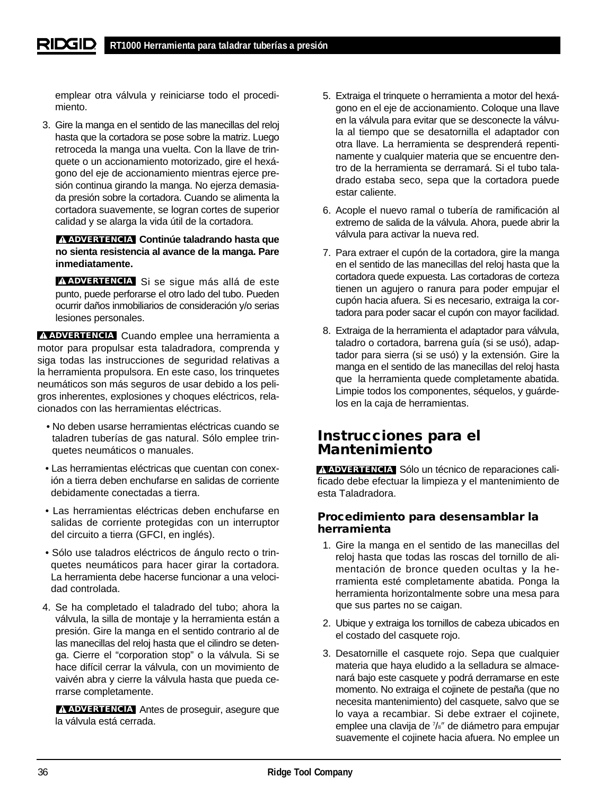emplear otra válvula y reiniciarse todo el procedimiento.

3. Gire la manga en el sentido de las manecillas del reloj hasta que la cortadora se pose sobre la matriz. Luego retroceda la manga una vuelta. Con la llave de trinquete o un accionamiento motorizado, gire el hexágono del eje de accionamiento mientras ejerce presión continua girando la manga. No ejerza demasiada presión sobre la cortadora. Cuando se alimenta la cortadora suavemente, se logran cortes de superior calidad y se alarga la vida útil de la cortadora.

## **Continúe taladrando hasta que ADVERTENCIA no sienta resistencia al avance de la manga. Pare inmediatamente.**

**ADVERTENCIA** Si se sigue más allá de este punto, puede perforarse el otro lado del tubo. Pueden ocurrir daños inmobiliarios de consideración y/o serias lesiones personales.

**ADVERTENCIA** Cuando emplee una herramienta a motor para propulsar esta taladradora, comprenda y siga todas las instrucciones de seguridad relativas a la herramienta propulsora. En este caso, los trinquetes neumáticos son más seguros de usar debido a los peligros inherentes, explosiones y choques eléctricos, relacionados con las herramientas eléctricas.

- No deben usarse herramientas eléctricas cuando se taladren tuberías de gas natural. Sólo emplee trinquetes neumáticos o manuales.
- Las herramientas eléctricas que cuentan con conexión a tierra deben enchufarse en salidas de corriente debidamente conectadas a tierra.
- Las herramientas eléctricas deben enchufarse en salidas de corriente protegidas con un interruptor del circuito a tierra (GFCI, en inglés).
- Sólo use taladros eléctricos de ángulo recto o trinquetes neumáticos para hacer girar la cortadora. La herramienta debe hacerse funcionar a una velocidad controlada.
- 4. Se ha completado el taladrado del tubo; ahora la válvula, la silla de montaje y la herramienta están a presión. Gire la manga en el sentido contrario al de las manecillas del reloj hasta que el cilindro se detenga. Cierre el "corporation stop" o la válvula. Si se hace difícil cerrar la válvula, con un movimiento de vaivén abra y cierre la válvula hasta que pueda cerrarse completamente.

**ADVERTENCIA** Antes de proseguir, asegure que la válvula está cerrada.

- 5. Extraiga el trinquete o herramienta a motor del hexágono en el eje de accionamiento. Coloque una llave en la válvula para evitar que se desconecte la válvula al tiempo que se desatornilla el adaptador con otra llave. La herramienta se desprenderá repentinamente y cualquier materia que se encuentre dentro de la herramienta se derramará. Si el tubo taladrado estaba seco, sepa que la cortadora puede estar caliente.
- 6. Acople el nuevo ramal o tubería de ramificación al extremo de salida de la válvula. Ahora, puede abrir la válvula para activar la nueva red.
- 7. Para extraer el cupón de la cortadora, gire la manga en el sentido de las manecillas del reloj hasta que la cortadora quede expuesta. Las cortadoras de corteza tienen un agujero o ranura para poder empujar el cupón hacia afuera. Si es necesario, extraiga la cortadora para poder sacar el cupón con mayor facilidad.
- 8. Extraiga de la herramienta el adaptador para válvula, taladro o cortadora, barrena guía (si se usó), adaptador para sierra (si se usó) y la extensión. Gire la manga en el sentido de las manecillas del reloj hasta que la herramienta quede completamente abatida. Limpie todos los componentes, séquelos, y guárdelos en la caja de herramientas.

## **Instrucciones para el Mantenimiento**

**ADVERTENCIA** Sólo un técnico de reparaciones calificado debe efectuar la limpieza y el mantenimiento de esta Taladradora.

## **Procedimiento para desensamblar la herramienta**

- 1. Gire la manga en el sentido de las manecillas del reloj hasta que todas las roscas del tornillo de alimentación de bronce queden ocultas y la herramienta esté completamente abatida. Ponga la herramienta horizontalmente sobre una mesa para que sus partes no se caigan.
- 2. Ubique y extraiga los tornillos de cabeza ubicados en el costado del casquete rojo.
- 3. Desatornille el casquete rojo. Sepa que cualquier materia que haya eludido a la selladura se almacenará bajo este casquete y podrá derramarse en este momento. No extraiga el cojinete de pestaña (que no necesita mantenimiento) del casquete, salvo que se lo vaya a recambiar. Si debe extraer el cojinete, emplee una clavija de 7 /8″ de diámetro para empujar suavemente el cojinete hacia afuera. No emplee un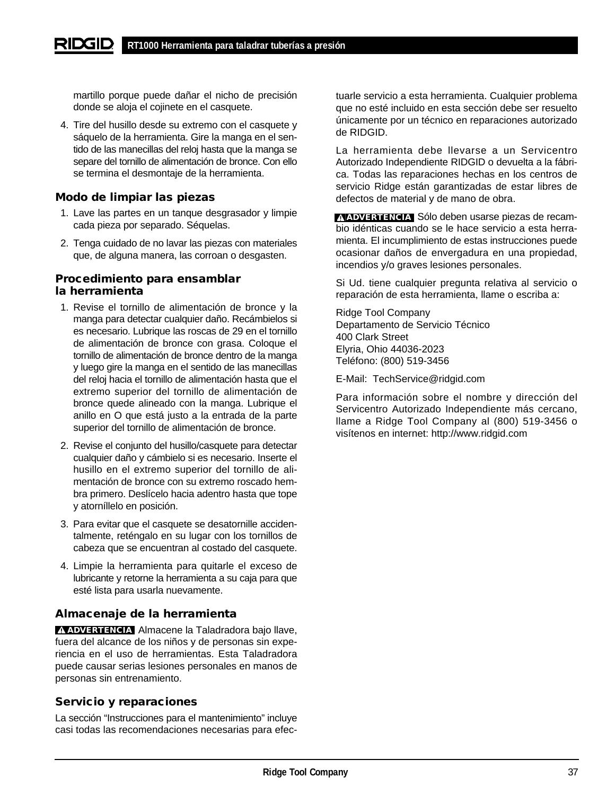martillo porque puede dañar el nicho de precisión donde se aloja el cojinete en el casquete.

4. Tire del husillo desde su extremo con el casquete y sáquelo de la herramienta. Gire la manga en el sentido de las manecillas del reloj hasta que la manga se separe del tornillo de alimentación de bronce. Con ello se termina el desmontaje de la herramienta.

## **Modo de limpiar las piezas**

- 1. Lave las partes en un tanque desgrasador y limpie cada pieza por separado. Séquelas.
- 2. Tenga cuidado de no lavar las piezas con materiales que, de alguna manera, las corroan o desgasten.

## **Procedimiento para ensamblar la herramienta**

- 1. Revise el tornillo de alimentación de bronce y la manga para detectar cualquier daño. Recámbielos si es necesario. Lubrique las roscas de 29 en el tornillo de alimentación de bronce con grasa. Coloque el tornillo de alimentación de bronce dentro de la manga y luego gire la manga en el sentido de las manecillas del reloj hacia el tornillo de alimentación hasta que el extremo superior del tornillo de alimentación de bronce quede alineado con la manga. Lubrique el anillo en O que está justo a la entrada de la parte superior del tornillo de alimentación de bronce.
- 2. Revise el conjunto del husillo/casquete para detectar cualquier daño y cámbielo si es necesario. Inserte el husillo en el extremo superior del tornillo de alimentación de bronce con su extremo roscado hembra primero. Deslícelo hacia adentro hasta que tope y atorníllelo en posición.
- 3. Para evitar que el casquete se desatornille accidentalmente, reténgalo en su lugar con los tornillos de cabeza que se encuentran al costado del casquete.
- 4. Limpie la herramienta para quitarle el exceso de lubricante y retorne la herramienta a su caja para que esté lista para usarla nuevamente.

## **Almacenaje de la herramienta**

**ADVERTENCIA** Almacene la Taladradora bajo llave, fuera del alcance de los niños y de personas sin experiencia en el uso de herramientas. Esta Taladradora puede causar serias lesiones personales en manos de personas sin entrenamiento.

## **Servicio y reparaciones**

La sección "Instrucciones para el mantenimiento" incluye casi todas las recomendaciones necesarias para efectuarle servicio a esta herramienta. Cualquier problema que no esté incluido en esta sección debe ser resuelto únicamente por un técnico en reparaciones autorizado de RIDGID.

La herramienta debe llevarse a un Servicentro Autorizado Independiente RIDGID o devuelta a la fábrica. Todas las reparaciones hechas en los centros de servicio Ridge están garantizadas de estar libres de defectos de material y de mano de obra.

**ADVERTENCIA** Sólo deben usarse piezas de recambio idénticas cuando se le hace servicio a esta herramienta. El incumplimiento de estas instrucciones puede ocasionar daños de envergadura en una propiedad, incendios y/o graves lesiones personales.

Si Ud. tiene cualquier pregunta relativa al servicio o reparación de esta herramienta, llame o escriba a:

Ridge Tool Company Departamento de Servicio Técnico 400 Clark Street Elyria, Ohio 44036-2023 Teléfono: (800) 519-3456

E-Mail: TechService@ridgid.com

Para información sobre el nombre y dirección del Servicentro Autorizado Independiente más cercano, llame a Ridge Tool Company al (800) 519-3456 o visítenos en internet: http://www.ridgid.com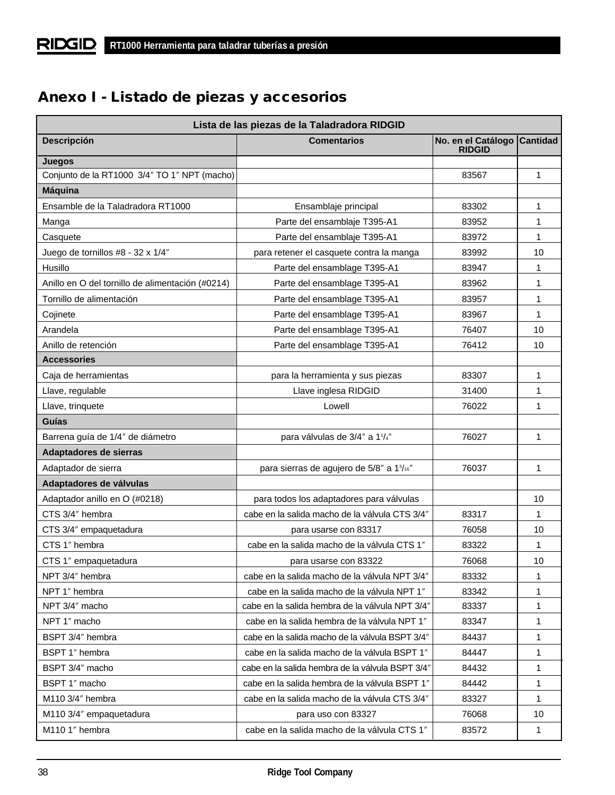# **Anexo I - Listado de piezas y accesorios**

| Lista de las piezas de la Taladradora RIDGID     |                                                  |                                     |                 |  |  |  |  |
|--------------------------------------------------|--------------------------------------------------|-------------------------------------|-----------------|--|--|--|--|
| <b>Descripción</b>                               | <b>Comentarios</b>                               | No. en el Catálogo<br><b>RIDGID</b> | <b>Cantidad</b> |  |  |  |  |
| Juegos                                           |                                                  |                                     |                 |  |  |  |  |
| Conjunto de la RT1000 3/4" TO 1" NPT (macho)     |                                                  | 83567                               | 1               |  |  |  |  |
| <b>Máquina</b>                                   |                                                  |                                     |                 |  |  |  |  |
| Ensamble de la Taladradora RT1000                | Ensamblaje principal                             | 83302                               | 1               |  |  |  |  |
| Manga                                            | Parte del ensamblaje T395-A1                     | 83952                               | 1               |  |  |  |  |
| Casquete                                         | Parte del ensamblaje T395-A1                     | 83972                               | 1               |  |  |  |  |
| Juego de tornillos #8 - 32 x 1/4"                | para retener el casquete contra la manga         | 83992                               | 10              |  |  |  |  |
| Husillo                                          | Parte del ensamblage T395-A1                     | 83947                               | 1               |  |  |  |  |
| Anillo en O del tornillo de alimentación (#0214) | Parte del ensamblage T395-A1                     | 83962                               | 1               |  |  |  |  |
| Tornillo de alimentación                         | Parte del ensamblage T395-A1                     | 83957                               | 1               |  |  |  |  |
| Cojinete                                         | Parte del ensamblage T395-A1                     | 83967                               | 1               |  |  |  |  |
| Arandela                                         | Parte del ensamblage T395-A1                     | 76407                               | 10              |  |  |  |  |
| Anillo de retención                              | Parte del ensamblage T395-A1                     | 76412                               | 10              |  |  |  |  |
| <b>Accessories</b>                               |                                                  |                                     |                 |  |  |  |  |
| Caja de herramientas                             | para la herramienta y sus piezas                 | 83307                               | 1               |  |  |  |  |
| Llave, regulable                                 | Llave inglesa RIDGID                             | 31400                               | 1               |  |  |  |  |
| Llave, trinquete                                 | Lowell                                           | 76022                               | 1               |  |  |  |  |
| Guías                                            |                                                  |                                     |                 |  |  |  |  |
| Barrena guía de 1/4" de diámetro                 | para válvulas de 3/4" a 11/4"                    | 76027                               | 1               |  |  |  |  |
| Adaptadores de sierras                           |                                                  |                                     |                 |  |  |  |  |
| Adaptador de sierra                              | para sierras de agujero de 5/8" a 13/16"         | 76037                               | 1               |  |  |  |  |
| Adaptadores de válvulas                          |                                                  |                                     |                 |  |  |  |  |
| Adaptador anillo en O (#0218)                    | para todos los adaptadores para válvulas         |                                     | 10 <sup>1</sup> |  |  |  |  |
| CTS 3/4" hembra                                  | cabe en la salida macho de la válvula CTS 3/4"   | 83317                               | 1               |  |  |  |  |
| CTS 3/4" empaquetadura                           | para usarse con 83317                            | 76058                               | 10              |  |  |  |  |
| CTS 1" hembra                                    | cabe en la salida macho de la válvula CTS 1"     | 83322                               | 1               |  |  |  |  |
| CTS 1" empaquetadura                             | para usarse con 83322                            | 76068                               | 10              |  |  |  |  |
| NPT 3/4" hembra                                  | cabe en la salida macho de la válvula NPT 3/4"   | 83332                               | 1               |  |  |  |  |
| NPT 1" hembra                                    | cabe en la salida macho de la válvula NPT 1"     | 83342                               | 1               |  |  |  |  |
| NPT 3/4" macho                                   | cabe en la salida hembra de la válvula NPT 3/4"  | 83337                               | 1               |  |  |  |  |
| NPT 1" macho                                     | cabe en la salida hembra de la válvula NPT 1"    | 83347                               | 1               |  |  |  |  |
| BSPT 3/4" hembra                                 | cabe en la salida macho de la válvula BSPT 3/4"  | 84437                               | 1               |  |  |  |  |
| BSPT 1" hembra                                   | cabe en la salida macho de la válvula BSPT 1"    | 84447                               | 1               |  |  |  |  |
| BSPT 3/4" macho                                  | cabe en la salida hembra de la válvula BSPT 3/4" | 84432                               | 1               |  |  |  |  |
| BSPT 1" macho                                    | cabe en la salida hembra de la válvula BSPT 1"   | 84442                               | 1               |  |  |  |  |
| M110 3/4" hembra                                 | cabe en la salida macho de la válvula CTS 3/4"   | 83327                               | 1               |  |  |  |  |
| M110 3/4" empaquetadura                          | para uso con 83327                               | 76068                               | 10              |  |  |  |  |
| M110 1" hembra                                   | cabe en la salida macho de la válvula CTS 1"     | 83572                               | 1               |  |  |  |  |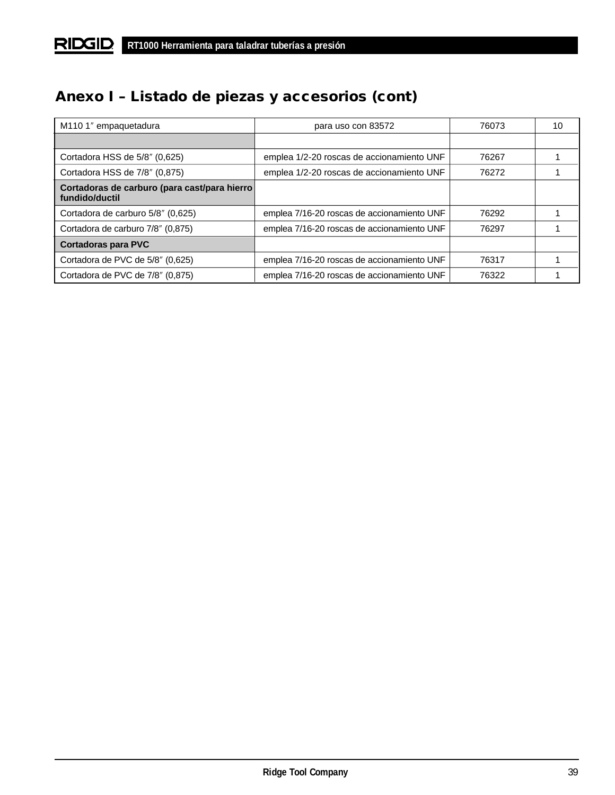# **Anexo I – Listado de piezas y accesorios (cont)**

| M110 1" empaquetadura                                           | para uso con 83572                         | 76073 | 10 |
|-----------------------------------------------------------------|--------------------------------------------|-------|----|
|                                                                 |                                            |       |    |
| Cortadora HSS de 5/8" (0,625)                                   | emplea 1/2-20 roscas de accionamiento UNF  | 76267 |    |
| Cortadora HSS de 7/8" (0,875)                                   | emplea 1/2-20 roscas de accionamiento UNF  | 76272 |    |
| Cortadoras de carburo (para cast/para hierro)<br>fundido/ductil |                                            |       |    |
| Cortadora de carburo 5/8" (0,625)                               | emplea 7/16-20 roscas de accionamiento UNF | 76292 |    |
| Cortadora de carburo 7/8" (0,875)                               | emplea 7/16-20 roscas de accionamiento UNF | 76297 |    |
| <b>Cortadoras para PVC</b>                                      |                                            |       |    |
| Cortadora de PVC de 5/8" (0,625)                                | emplea 7/16-20 roscas de accionamiento UNF | 76317 |    |
| Cortadora de PVC de 7/8" (0,875)                                | emplea 7/16-20 roscas de accionamiento UNF | 76322 |    |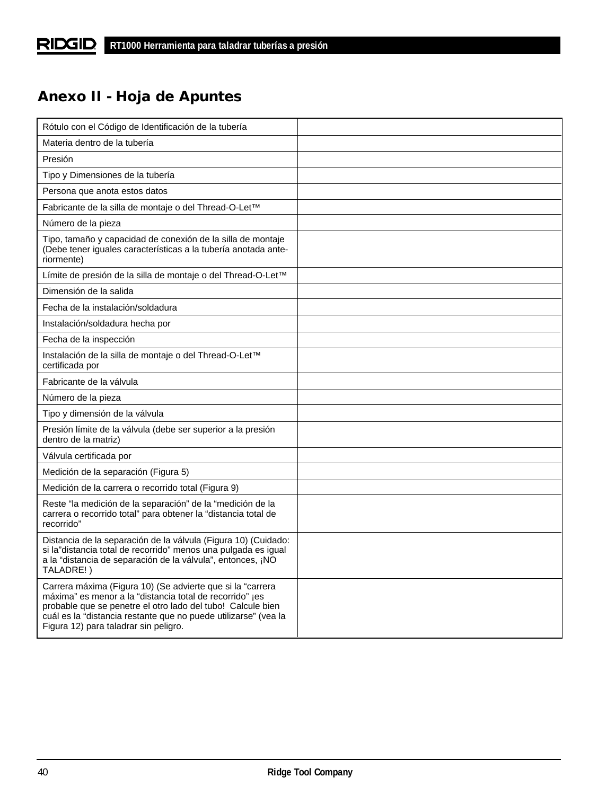# **Anexo II - Hoja de Apuntes**

| Rótulo con el Código de Identificación de la tubería                                                                                                                                                                                                                                              |  |
|---------------------------------------------------------------------------------------------------------------------------------------------------------------------------------------------------------------------------------------------------------------------------------------------------|--|
| Materia dentro de la tubería                                                                                                                                                                                                                                                                      |  |
| Presión                                                                                                                                                                                                                                                                                           |  |
| Tipo y Dimensiones de la tubería                                                                                                                                                                                                                                                                  |  |
| Persona que anota estos datos                                                                                                                                                                                                                                                                     |  |
| Fabricante de la silla de montaje o del Thread-O-Let™                                                                                                                                                                                                                                             |  |
| Número de la pieza                                                                                                                                                                                                                                                                                |  |
| Tipo, tamaño y capacidad de conexión de la silla de montaje<br>(Debe tener iguales características a la tubería anotada ante-<br>riormente)                                                                                                                                                       |  |
| Límite de presión de la silla de montaje o del Thread-O-Let™                                                                                                                                                                                                                                      |  |
| Dimensión de la salida                                                                                                                                                                                                                                                                            |  |
| Fecha de la instalación/soldadura                                                                                                                                                                                                                                                                 |  |
| Instalación/soldadura hecha por                                                                                                                                                                                                                                                                   |  |
| Fecha de la inspección                                                                                                                                                                                                                                                                            |  |
| Instalación de la silla de montaje o del Thread-O-Let™<br>certificada por                                                                                                                                                                                                                         |  |
| Fabricante de la válvula                                                                                                                                                                                                                                                                          |  |
| Número de la pieza                                                                                                                                                                                                                                                                                |  |
| Tipo y dimensión de la válvula                                                                                                                                                                                                                                                                    |  |
| Presión límite de la válvula (debe ser superior a la presión<br>dentro de la matriz)                                                                                                                                                                                                              |  |
| Válvula certificada por                                                                                                                                                                                                                                                                           |  |
| Medición de la separación (Figura 5)                                                                                                                                                                                                                                                              |  |
| Medición de la carrera o recorrido total (Figura 9)                                                                                                                                                                                                                                               |  |
| Reste "la medición de la separación" de la "medición de la<br>carrera o recorrido total" para obtener la "distancia total de<br>recorrido"                                                                                                                                                        |  |
| Distancia de la separación de la válvula (Figura 10) (Cuidado:<br>si la"distancia total de recorrido" menos una pulgada es igual<br>a la "distancia de separación de la válvula", entonces, ¡NO<br>TALADRE!)                                                                                      |  |
| Carrera máxima (Figura 10) (Se advierte que si la "carrera<br>máxima" es menor a la "distancia total de recorrido" jes<br>probable que se penetre el otro lado del tubo! Calcule bien<br>cuál es la "distancia restante que no puede utilizarse" (vea la<br>Figura 12) para taladrar sin peligro. |  |